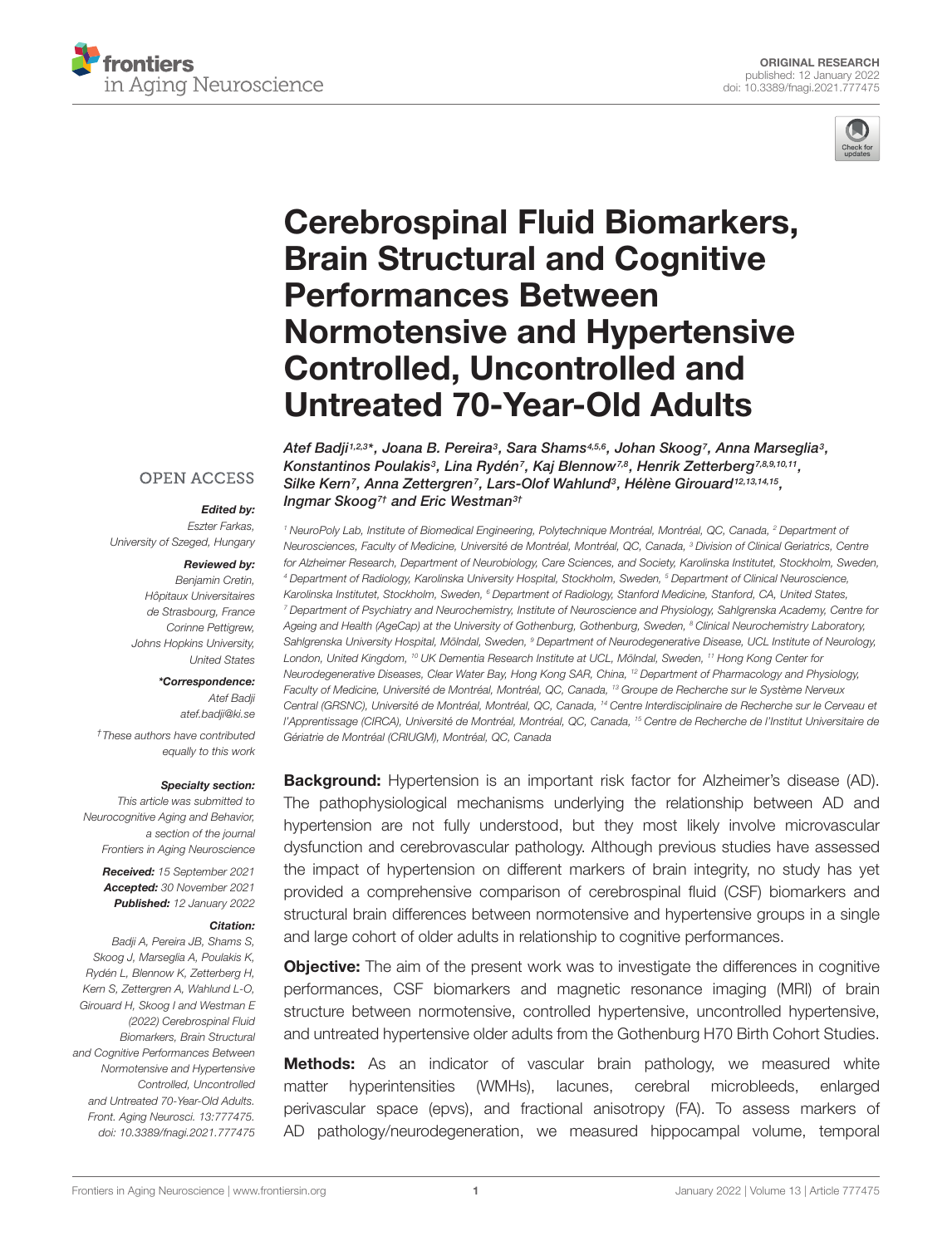



# [Cerebrospinal Fluid Biomarkers,](https://www.frontiersin.org/articles/10.3389/fnagi.2021.777475/full) Brain Structural and Cognitive Performances Between Normotensive and Hypertensive Controlled, Uncontrolled and Untreated 70-Year-Old Adults

Atef Badji $^{i,2,3\star},$  Joana B. Pereira $^{\circ},$  Sara Shams $^{4,5,6},$  Johan Skoog $^{\prime},$  Anna Marseglia $^{\circ},$ Konstantinos Poulakis<sup>3</sup>, Lina Rydén<sup>7</sup>, Kaj Blennow<sup>7,8</sup>, Henrik Zetterberg<sup>7,8,9,10,11</sup>, Silke Kern<sup>7</sup>, Anna Zettergren<sup>7</sup>, Lars-Olof Wahlund<sup>3</sup>, Hélène Girouard<sup>12,13,14,15</sup>, Ingmar Skoog<sup>7†</sup> and Eric Westman<sup>3†</sup>

<sup>1</sup> NeuroPoly Lab, Institute of Biomedical Engineering, Polytechnique Montréal, Montréal, QC, Canada, <sup>2</sup> Department of Neurosciences, Faculty of Medicine, Université de Montréal, Montréal, QC, Canada, <sup>3</sup> Division of Clinical Geriatrics, Centre for Alzheimer Research, Department of Neurobiology, Care Sciences, and Society, Karolinska Institutet, Stockholm, Sweden, <sup>4</sup> Department of Radiology, Karolinska University Hospital, Stockholm, Sweden, <sup>5</sup> Department of Clinical Neuroscience, Karolinska Institutet, Stockholm, Sweden, <sup>6</sup> Department of Radiology, Stanford Medicine, Stanford, CA, United States, <sup>7</sup> Department of Psychiatry and Neurochemistry, Institute of Neuroscience and Physiology, Sahlgrenska Academy, Centre for Ageing and Health (AgeCap) at the University of Gothenburg, Gothenburg, Sweden, <sup>8</sup> Clinical Neurochemistry Laboratory, Sahlgrenska University Hospital, Mölndal, Sweden, <sup>9</sup> Department of Neurodegenerative Disease, UCL Institute of Neurology, London, United Kingdom, <sup>10</sup> UK Dementia Research Institute at UCL, Mölndal, Sweden, <sup>11</sup> Hong Kong Center for Neurodegenerative Diseases, Clear Water Bay, Hong Kong SAR, China, <sup>12</sup> Department of Pharmacology and Physiology, Faculty of Medicine, Université de Montréal, Montréal, QC, Canada, <sup>13</sup> Groupe de Recherche sur le Système Nerveux Central (GRSNC), Université de Montréal, Montréal, QC, Canada, <sup>14</sup> Centre Interdisciplinaire de Recherche sur le Cerveau et l'Apprentissage (CIRCA), Université de Montréal, Montréal, QC, Canada, <sup>15</sup> Centre de Recherche de l'Institut Universitaire de Gériatrie de Montréal (CRIUGM), Montréal, QC, Canada

**Background:** Hypertension is an important risk factor for Alzheimer's disease (AD). The pathophysiological mechanisms underlying the relationship between AD and hypertension are not fully understood, but they most likely involve microvascular dysfunction and cerebrovascular pathology. Although previous studies have assessed the impact of hypertension on different markers of brain integrity, no study has yet provided a comprehensive comparison of cerebrospinal fluid (CSF) biomarkers and structural brain differences between normotensive and hypertensive groups in a single and large cohort of older adults in relationship to cognitive performances.

**Objective:** The aim of the present work was to investigate the differences in cognitive performances, CSF biomarkers and magnetic resonance imaging (MRI) of brain structure between normotensive, controlled hypertensive, uncontrolled hypertensive, and untreated hypertensive older adults from the Gothenburg H70 Birth Cohort Studies.

**Methods:** As an indicator of vascular brain pathology, we measured white matter hyperintensities (WMHs), lacunes, cerebral microbleeds, enlarged perivascular space (epvs), and fractional anisotropy (FA). To assess markers of AD pathology/neurodegeneration, we measured hippocampal volume, temporal

#### **OPEN ACCESS**

#### Edited by:

Eszter Farkas, University of Szeged, Hungary

#### Reviewed by:

Benjamin Cretin, Hôpitaux Universitaires de Strasbourg, France Corinne Pettigrew, Johns Hopkins University, United States

#### \*Correspondence:

Atef Badji atef.badji@ki.se

†These authors have contributed equally to this work

#### Specialty section:

This article was submitted to Neurocognitive Aging and Behavior, a section of the journal Frontiers in Aging Neuroscience

> Received: 15 September 2021 Accepted: 30 November 2021 Published: 12 January 2022

#### Citation:

Badji A, Pereira JB, Shams S, Skoog J, Marseglia A, Poulakis K, Rydén L, Blennow K, Zetterberg H, Kern S, Zettergren A, Wahlund L-O, Girouard H, Skoog I and Westman E (2022) Cerebrospinal Fluid Biomarkers, Brain Structural and Cognitive Performances Between Normotensive and Hypertensive Controlled, Uncontrolled and Untreated 70-Year-Old Adults. Front. Aging Neurosci. 13:777475. doi: [10.3389/fnagi.2021.777475](https://doi.org/10.3389/fnagi.2021.777475)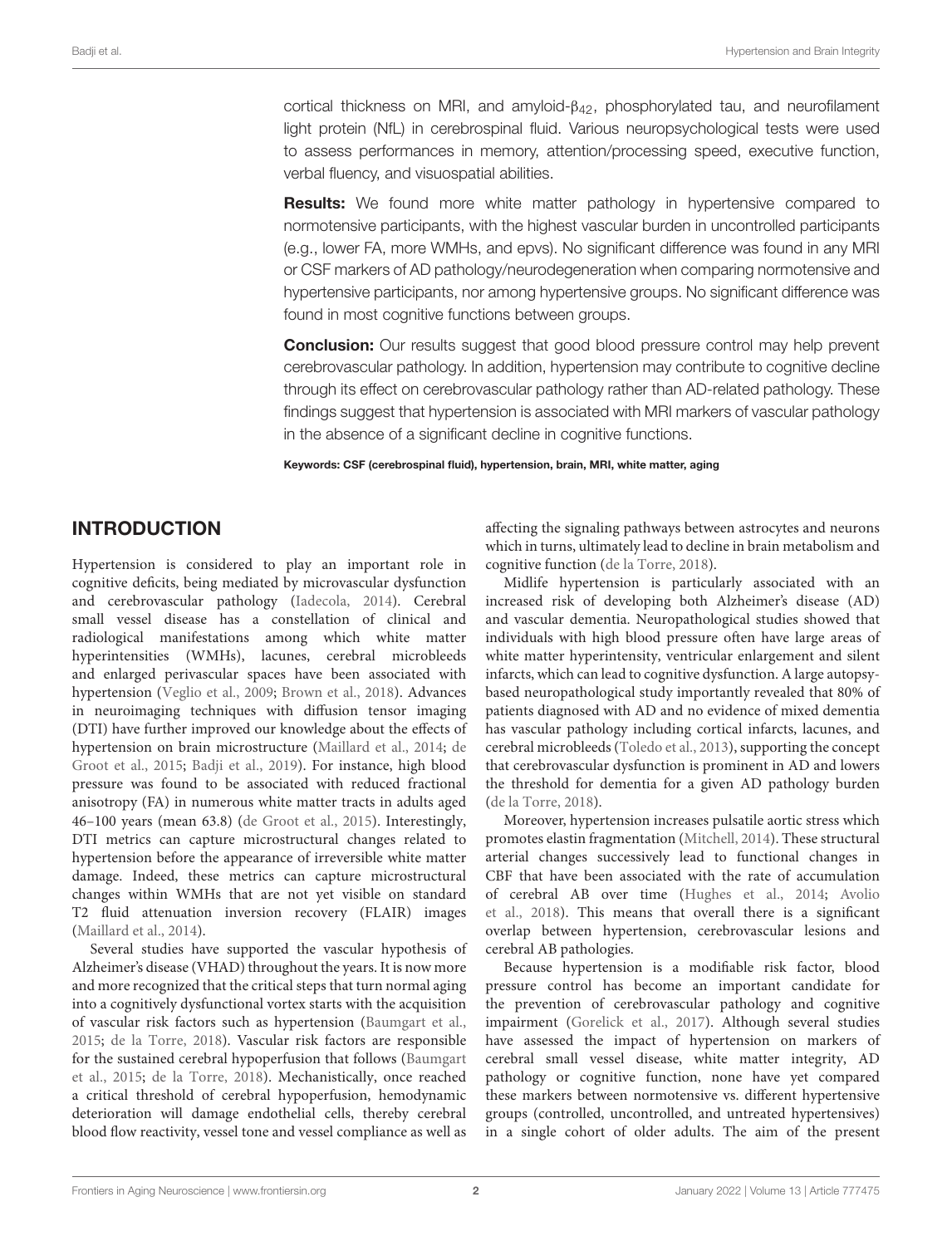cortical thickness on MRI, and amyloid- $β<sub>42</sub>$ , phosphorylated tau, and neurofilament light protein (NfL) in cerebrospinal fluid. Various neuropsychological tests were used to assess performances in memory, attention/processing speed, executive function, verbal fluency, and visuospatial abilities.

**Results:** We found more white matter pathology in hypertensive compared to normotensive participants, with the highest vascular burden in uncontrolled participants (e.g., lower FA, more WMHs, and epvs). No significant difference was found in any MRI or CSF markers of AD pathology/neurodegeneration when comparing normotensive and hypertensive participants, nor among hypertensive groups. No significant difference was found in most cognitive functions between groups.

**Conclusion:** Our results suggest that good blood pressure control may help prevent cerebrovascular pathology. In addition, hypertension may contribute to cognitive decline through its effect on cerebrovascular pathology rather than AD-related pathology. These findings suggest that hypertension is associated with MRI markers of vascular pathology in the absence of a significant decline in cognitive functions.

Keywords: CSF (cerebrospinal fluid), hypertension, brain, MRI, white matter, aging

# INTRODUCTION

Hypertension is considered to play an important role in cognitive deficits, being mediated by microvascular dysfunction and cerebrovascular pathology [\(Iadecola,](#page-12-0) [2014\)](#page-12-0). Cerebral small vessel disease has a constellation of clinical and radiological manifestations among which white matter hyperintensities (WMHs), lacunes, cerebral microbleeds and enlarged perivascular spaces have been associated with hypertension [\(Veglio et al.,](#page-13-0) [2009;](#page-13-0) [Brown et al.,](#page-11-0) [2018\)](#page-11-0). Advances in neuroimaging techniques with diffusion tensor imaging (DTI) have further improved our knowledge about the effects of hypertension on brain microstructure [\(Maillard et al.,](#page-12-1) [2014;](#page-12-1) [de](#page-11-1) [Groot et al.,](#page-11-1) [2015;](#page-11-1) [Badji et al.,](#page-11-2) [2019\)](#page-11-2). For instance, high blood pressure was found to be associated with reduced fractional anisotropy (FA) in numerous white matter tracts in adults aged 46–100 years (mean 63.8) [\(de Groot et al.,](#page-11-1) [2015\)](#page-11-1). Interestingly, DTI metrics can capture microstructural changes related to hypertension before the appearance of irreversible white matter damage. Indeed, these metrics can capture microstructural changes within WMHs that are not yet visible on standard T2 fluid attenuation inversion recovery (FLAIR) images [\(Maillard et al.,](#page-12-1) [2014\)](#page-12-1).

Several studies have supported the vascular hypothesis of Alzheimer's disease (VHAD) throughout the years. It is now more and more recognized that the critical steps that turn normal aging into a cognitively dysfunctional vortex starts with the acquisition of vascular risk factors such as hypertension [\(Baumgart et al.,](#page-11-3) [2015;](#page-11-3) [de la Torre,](#page-11-4) [2018\)](#page-11-4). Vascular risk factors are responsible for the sustained cerebral hypoperfusion that follows [\(Baumgart](#page-11-3) [et al.,](#page-11-3) [2015;](#page-11-3) [de la Torre,](#page-11-4) [2018\)](#page-11-4). Mechanistically, once reached a critical threshold of cerebral hypoperfusion, hemodynamic deterioration will damage endothelial cells, thereby cerebral blood flow reactivity, vessel tone and vessel compliance as well as

affecting the signaling pathways between astrocytes and neurons which in turns, ultimately lead to decline in brain metabolism and cognitive function [\(de la Torre,](#page-11-4) [2018\)](#page-11-4).

Midlife hypertension is particularly associated with an increased risk of developing both Alzheimer's disease (AD) and vascular dementia. Neuropathological studies showed that individuals with high blood pressure often have large areas of white matter hyperintensity, ventricular enlargement and silent infarcts, which can lead to cognitive dysfunction. A large autopsybased neuropathological study importantly revealed that 80% of patients diagnosed with AD and no evidence of mixed dementia has vascular pathology including cortical infarcts, lacunes, and cerebral microbleeds [\(Toledo et al.,](#page-13-1) [2013\)](#page-13-1), supporting the concept that cerebrovascular dysfunction is prominent in AD and lowers the threshold for dementia for a given AD pathology burden [\(de la Torre,](#page-11-4) [2018\)](#page-11-4).

Moreover, hypertension increases pulsatile aortic stress which promotes elastin fragmentation [\(Mitchell,](#page-12-2) [2014\)](#page-12-2). These structural arterial changes successively lead to functional changes in CBF that have been associated with the rate of accumulation of cerebral AB over time [\(Hughes et al.,](#page-12-3) [2014;](#page-12-3) [Avolio](#page-11-5) [et al.,](#page-11-5) [2018\)](#page-11-5). This means that overall there is a significant overlap between hypertension, cerebrovascular lesions and cerebral AB pathologies.

Because hypertension is a modifiable risk factor, blood pressure control has become an important candidate for the prevention of cerebrovascular pathology and cognitive impairment [\(Gorelick et al.,](#page-12-4) [2017\)](#page-12-4). Although several studies have assessed the impact of hypertension on markers of cerebral small vessel disease, white matter integrity, AD pathology or cognitive function, none have yet compared these markers between normotensive vs. different hypertensive groups (controlled, uncontrolled, and untreated hypertensives) in a single cohort of older adults. The aim of the present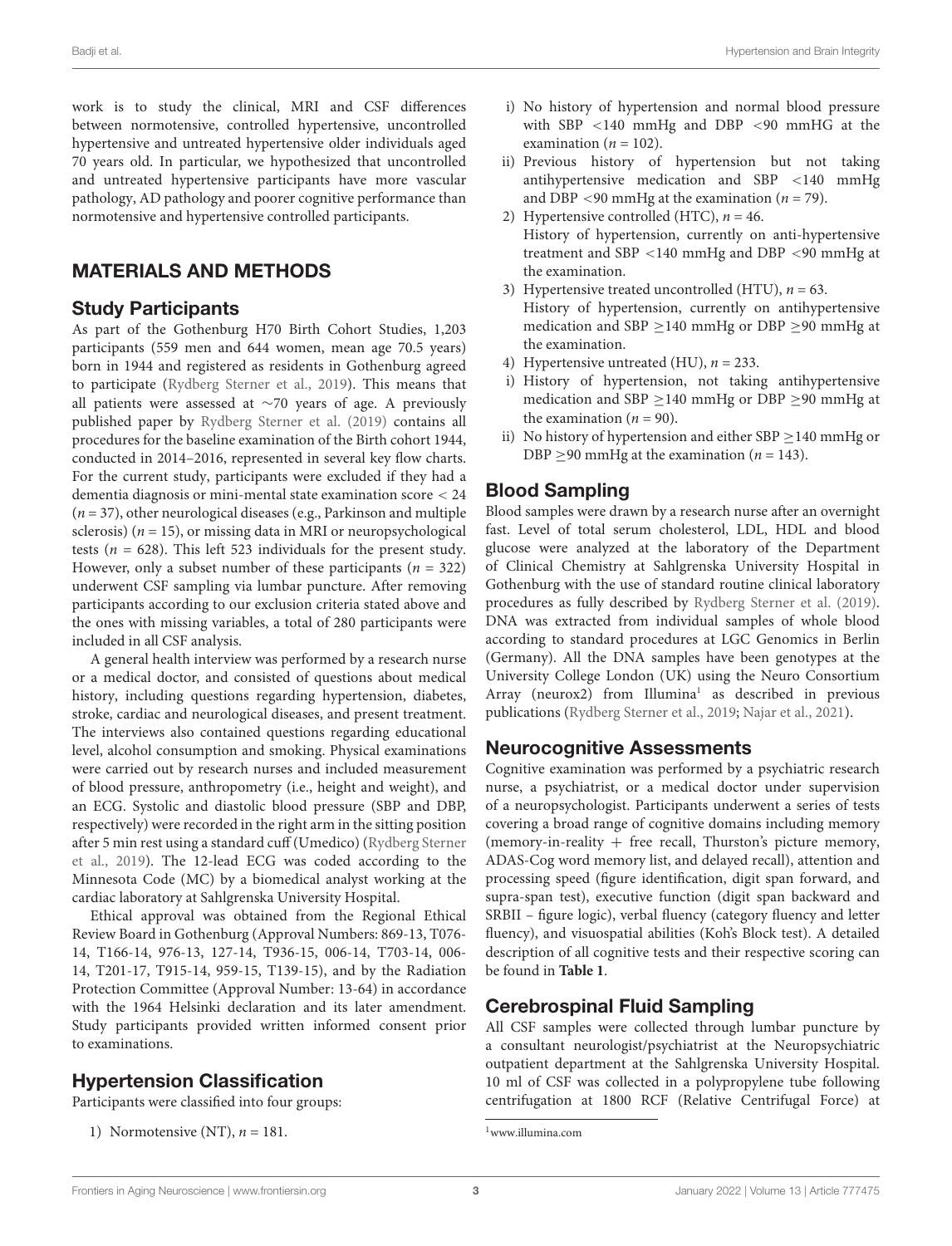Badji et al. Hypertension and Brain Integrity

work is to study the clinical, MRI and CSF differences between normotensive, controlled hypertensive, uncontrolled hypertensive and untreated hypertensive older individuals aged 70 years old. In particular, we hypothesized that uncontrolled and untreated hypertensive participants have more vascular pathology, AD pathology and poorer cognitive performance than normotensive and hypertensive controlled participants.

# MATERIALS AND METHODS

#### Study Participants

As part of the Gothenburg H70 Birth Cohort Studies, 1,203 participants (559 men and 644 women, mean age 70.5 years) born in 1944 and registered as residents in Gothenburg agreed to participate [\(Rydberg Sterner et al.,](#page-13-2) [2019\)](#page-13-2). This means that all patients were assessed at ∼70 years of age. A previously published paper by [Rydberg Sterner et al.](#page-13-2) [\(2019\)](#page-13-2) contains all procedures for the baseline examination of the Birth cohort 1944, conducted in 2014–2016, represented in several key flow charts. For the current study, participants were excluded if they had a dementia diagnosis or mini-mental state examination score < 24  $(n = 37)$ , other neurological diseases (e.g., Parkinson and multiple sclerosis) ( $n = 15$ ), or missing data in MRI or neuropsychological tests ( $n = 628$ ). This left 523 individuals for the present study. However, only a subset number of these participants ( $n = 322$ ) underwent CSF sampling via lumbar puncture. After removing participants according to our exclusion criteria stated above and the ones with missing variables, a total of 280 participants were included in all CSF analysis.

A general health interview was performed by a research nurse or a medical doctor, and consisted of questions about medical history, including questions regarding hypertension, diabetes, stroke, cardiac and neurological diseases, and present treatment. The interviews also contained questions regarding educational level, alcohol consumption and smoking. Physical examinations were carried out by research nurses and included measurement of blood pressure, anthropometry (i.e., height and weight), and an ECG. Systolic and diastolic blood pressure (SBP and DBP, respectively) were recorded in the right arm in the sitting position after 5 min rest using a standard cuff (Umedico) [\(Rydberg Sterner](#page-13-2) [et al.,](#page-13-2) [2019\)](#page-13-2). The 12-lead ECG was coded according to the Minnesota Code (MC) by a biomedical analyst working at the cardiac laboratory at Sahlgrenska University Hospital.

Ethical approval was obtained from the Regional Ethical Review Board in Gothenburg (Approval Numbers: 869-13, T076- 14, T166-14, 976-13, 127-14, T936-15, 006-14, T703-14, 006- 14, T201-17, T915-14, 959-15, T139-15), and by the Radiation Protection Committee (Approval Number: 13-64) in accordance with the 1964 Helsinki declaration and its later amendment. Study participants provided written informed consent prior to examinations.

# Hypertension Classification

Participants were classified into four groups:

1) Normotensive (NT),  $n = 181$ .

- i) No history of hypertension and normal blood pressure with SBP <140 mmHg and DBP <90 mmHG at the examination ( $n = 102$ ).
- ii) Previous history of hypertension but not taking antihypertensive medication and SBP <140 mmHg and DBP <90 mmHg at the examination ( $n = 79$ ).
- 2) Hypertensive controlled (HTC),  $n = 46$ . History of hypertension, currently on anti-hypertensive treatment and SBP <140 mmHg and DBP <90 mmHg at the examination.
- 3) Hypertensive treated uncontrolled (HTU),  $n = 63$ . History of hypertension, currently on antihypertensive medication and SBP  $\geq$ 140 mmHg or DBP  $\geq$ 90 mmHg at the examination.
- 4) Hypertensive untreated (HU),  $n = 233$ .
- i) History of hypertension, not taking antihypertensive medication and SBP ≥140 mmHg or DBP ≥90 mmHg at the examination  $(n = 90)$ .
- ii) No history of hypertension and either SBP  $\geq$  140 mmHg or DBP >90 mmHg at the examination ( $n = 143$ ).

# Blood Sampling

Blood samples were drawn by a research nurse after an overnight fast. Level of total serum cholesterol, LDL, HDL and blood glucose were analyzed at the laboratory of the Department of Clinical Chemistry at Sahlgrenska University Hospital in Gothenburg with the use of standard routine clinical laboratory procedures as fully described by [Rydberg Sterner et al.](#page-13-2) [\(2019\)](#page-13-2). DNA was extracted from individual samples of whole blood according to standard procedures at LGC Genomics in Berlin (Germany). All the DNA samples have been genotypes at the University College London (UK) using the Neuro Consortium Array (neurox2) from Illumina<sup>[1](#page-2-0)</sup> as described in previous publications [\(Rydberg Sterner et al.,](#page-13-2) [2019;](#page-13-2) [Najar et al.,](#page-13-3) [2021\)](#page-13-3).

### Neurocognitive Assessments

Cognitive examination was performed by a psychiatric research nurse, a psychiatrist, or a medical doctor under supervision of a neuropsychologist. Participants underwent a series of tests covering a broad range of cognitive domains including memory (memory-in-reality  $+$  free recall, Thurston's picture memory, ADAS-Cog word memory list, and delayed recall), attention and processing speed (figure identification, digit span forward, and supra-span test), executive function (digit span backward and SRBII – figure logic), verbal fluency (category fluency and letter fluency), and visuospatial abilities (Koh's Block test). A detailed description of all cognitive tests and their respective scoring can be found in **[Table 1](#page-3-0)**.

# Cerebrospinal Fluid Sampling

All CSF samples were collected through lumbar puncture by a consultant neurologist/psychiatrist at the Neuropsychiatric outpatient department at the Sahlgrenska University Hospital. 10 ml of CSF was collected in a polypropylene tube following centrifugation at 1800 RCF (Relative Centrifugal Force) at

<span id="page-2-0"></span><sup>1</sup>[www.illumina.com](http://www.illumina.com)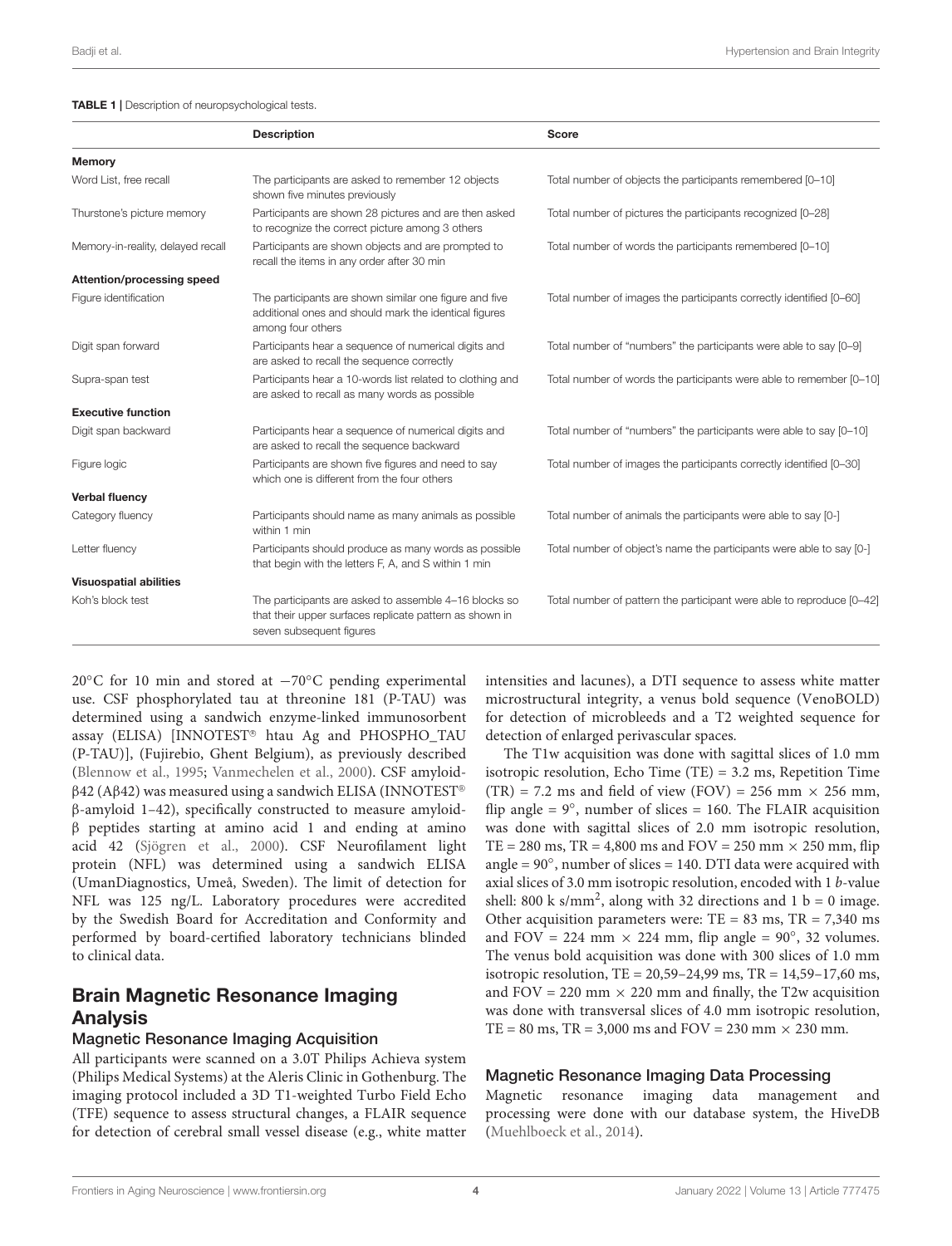<span id="page-3-0"></span>

|                                   | <b>Description</b>                                                                                                                           | <b>Score</b>                                                          |
|-----------------------------------|----------------------------------------------------------------------------------------------------------------------------------------------|-----------------------------------------------------------------------|
| Memory                            |                                                                                                                                              |                                                                       |
| Word List, free recall            | The participants are asked to remember 12 objects<br>shown five minutes previously                                                           | Total number of objects the participants remembered [0-10]            |
| Thurstone's picture memory        | Participants are shown 28 pictures and are then asked<br>to recognize the correct picture among 3 others                                     | Total number of pictures the participants recognized [0-28]           |
| Memory-in-reality, delayed recall | Participants are shown objects and are prompted to<br>recall the items in any order after 30 min                                             | Total number of words the participants remembered [0-10]              |
| Attention/processing speed        |                                                                                                                                              |                                                                       |
| Figure identification             | The participants are shown similar one figure and five<br>additional ones and should mark the identical figures<br>among four others         | Total number of images the participants correctly identified [0-60]   |
| Digit span forward                | Participants hear a sequence of numerical digits and<br>are asked to recall the sequence correctly                                           | Total number of "numbers" the participants were able to say [0-9]     |
| Supra-span test                   | Participants hear a 10-words list related to clothing and<br>are asked to recall as many words as possible                                   | Total number of words the participants were able to remember [0-10]   |
| <b>Executive function</b>         |                                                                                                                                              |                                                                       |
| Digit span backward               | Participants hear a sequence of numerical digits and<br>are asked to recall the sequence backward                                            | Total number of "numbers" the participants were able to say [0-10]    |
| Figure logic                      | Participants are shown five figures and need to say<br>which one is different from the four others                                           | Total number of images the participants correctly identified [0-30]   |
| <b>Verbal fluency</b>             |                                                                                                                                              |                                                                       |
| Category fluency                  | Participants should name as many animals as possible<br>within 1 min                                                                         | Total number of animals the participants were able to say [0-]        |
| Letter fluency                    | Participants should produce as many words as possible<br>that begin with the letters F, A, and S within 1 min                                | Total number of object's name the participants were able to say [0-]  |
| <b>Visuospatial abilities</b>     |                                                                                                                                              |                                                                       |
| Koh's block test                  | The participants are asked to assemble 4-16 blocks so<br>that their upper surfaces replicate pattern as shown in<br>seven subsequent figures | Total number of pattern the participant were able to reproduce [0-42] |

20◦C for 10 min and stored at −70◦C pending experimental use. CSF phosphorylated tau at threonine 181 (P-TAU) was determined using a sandwich enzyme-linked immunosorbent assay (ELISA) [INNOTEST<sup>®</sup> htau Ag and PHOSPHO\_TAU (P-TAU)], (Fujirebio, Ghent Belgium), as previously described [\(Blennow et al.,](#page-11-6) [1995;](#page-11-6) [Vanmechelen et al.,](#page-13-4) [2000\)](#page-13-4). CSF amyloid $β$ 42 (Aβ42) was measured using a sandwich ELISA (INNOTEST® β-amyloid 1–42), specifically constructed to measure amyloidβ peptides starting at amino acid 1 and ending at amino acid 42 [\(Sjögren et al.,](#page-13-5) [2000\)](#page-13-5). CSF Neurofilament light protein (NFL) was determined using a sandwich ELISA (UmanDiagnostics, Umeå, Sweden). The limit of detection for NFL was 125 ng/L. Laboratory procedures were accredited by the Swedish Board for Accreditation and Conformity and performed by board-certified laboratory technicians blinded to clinical data.

# Brain Magnetic Resonance Imaging Analysis

#### Magnetic Resonance Imaging Acquisition

All participants were scanned on a 3.0T Philips Achieva system (Philips Medical Systems) at the Aleris Clinic in Gothenburg. The imaging protocol included a 3D T1-weighted Turbo Field Echo (TFE) sequence to assess structural changes, a FLAIR sequence for detection of cerebral small vessel disease (e.g., white matter

intensities and lacunes), a DTI sequence to assess white matter microstructural integrity, a venus bold sequence (VenoBOLD) for detection of microbleeds and a T2 weighted sequence for detection of enlarged perivascular spaces.

The T1w acquisition was done with sagittal slices of 1.0 mm isotropic resolution, Echo Time  $(TE) = 3.2$  ms, Repetition Time  $(TR) = 7.2$  ms and field of view  $(FOV) = 256$  mm  $\times$  256 mm, flip angle =  $9^\circ$ , number of slices = 160. The FLAIR acquisition was done with sagittal slices of 2.0 mm isotropic resolution,  $TE = 280$  ms,  $TR = 4,800$  ms and  $FOV = 250$  mm  $\times$  250 mm, flip angle = 90◦ , number of slices = 140. DTI data were acquired with axial slices of 3.0 mm isotropic resolution, encoded with 1 b-value shell: 800 k s/mm<sup>2</sup>, along with 32 directions and 1 b = 0 image. Other acquisition parameters were:  $TE = 83$  ms,  $TR = 7,340$  ms and FOV = 224 mm  $\times$  224 mm, flip angle = 90°, 32 volumes. The venus bold acquisition was done with 300 slices of 1.0 mm isotropic resolution, TE = 20,59–24,99 ms, TR = 14,59–17,60 ms, and  $FOV = 220$  mm  $\times$  220 mm and finally, the T2w acquisition was done with transversal slices of 4.0 mm isotropic resolution,  $TE = 80$  ms,  $TR = 3,000$  ms and  $FOV = 230$  mm  $\times$  230 mm.

#### Magnetic Resonance Imaging Data Processing

Magnetic resonance imaging data management and processing were done with our database system, the HiveDB [\(Muehlboeck et al.,](#page-13-6) [2014\)](#page-13-6).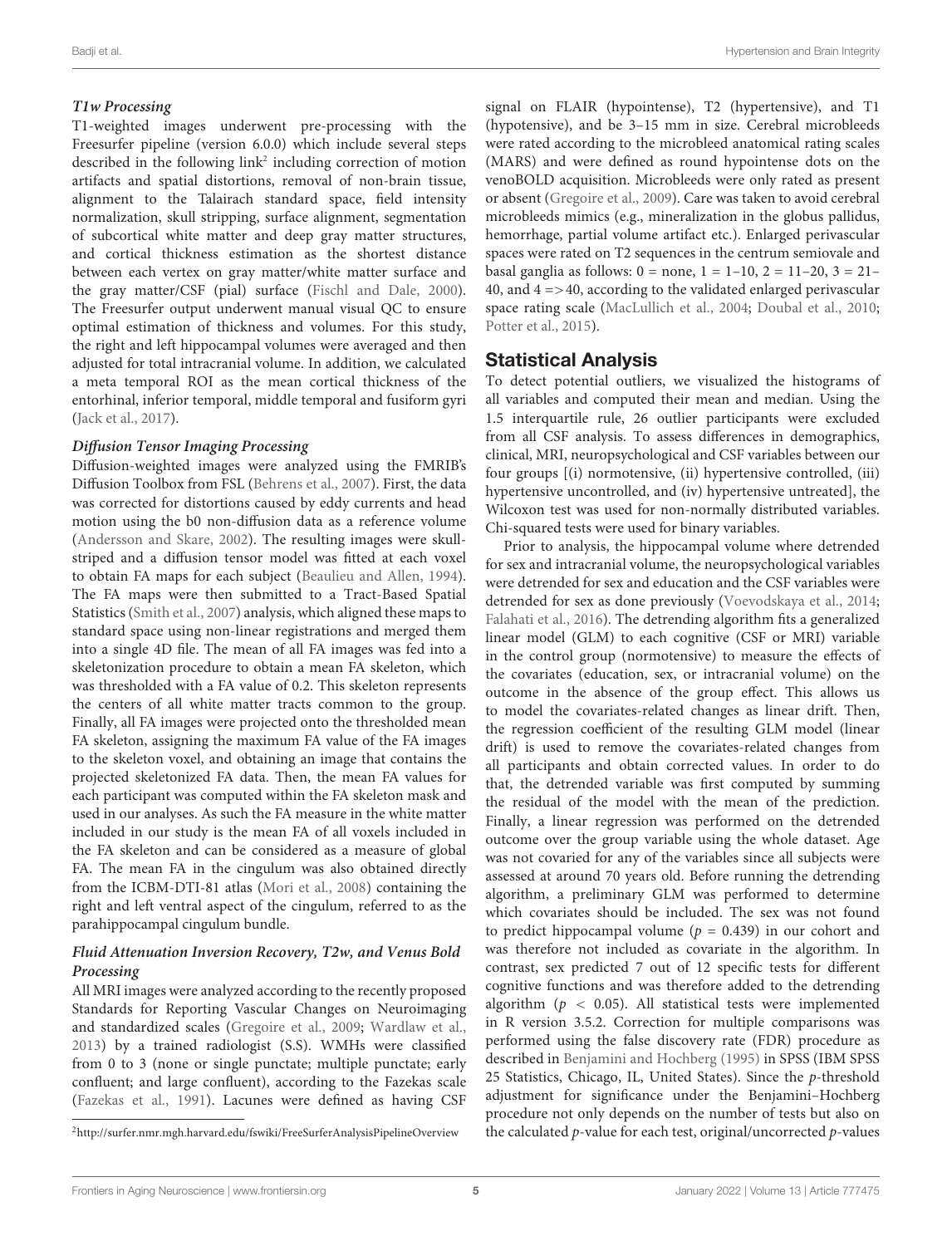#### **T1w Processing**

T1-weighted images underwent pre-processing with the Freesurfer pipeline (version 6.0.0) which include several steps described in the following link<sup>[2](#page-4-0)</sup> including correction of motion artifacts and spatial distortions, removal of non-brain tissue, alignment to the Talairach standard space, field intensity normalization, skull stripping, surface alignment, segmentation of subcortical white matter and deep gray matter structures, and cortical thickness estimation as the shortest distance between each vertex on gray matter/white matter surface and the gray matter/CSF (pial) surface [\(Fischl and Dale,](#page-12-5) [2000\)](#page-12-5). The Freesurfer output underwent manual visual QC to ensure optimal estimation of thickness and volumes. For this study, the right and left hippocampal volumes were averaged and then adjusted for total intracranial volume. In addition, we calculated a meta temporal ROI as the mean cortical thickness of the entorhinal, inferior temporal, middle temporal and fusiform gyri [\(Jack et al.,](#page-12-6) [2017\)](#page-12-6).

#### **Diffusion Tensor Imaging Processing**

Diffusion-weighted images were analyzed using the FMRIB's Diffusion Toolbox from FSL [\(Behrens et al.,](#page-11-7) [2007\)](#page-11-7). First, the data was corrected for distortions caused by eddy currents and head motion using the b0 non-diffusion data as a reference volume [\(Andersson and Skare,](#page-11-8) [2002\)](#page-11-8). The resulting images were skullstriped and a diffusion tensor model was fitted at each voxel to obtain FA maps for each subject [\(Beaulieu and Allen,](#page-11-9) [1994\)](#page-11-9). The FA maps were then submitted to a Tract-Based Spatial Statistics [\(Smith et al.,](#page-13-7) [2007\)](#page-13-7) analysis, which aligned these maps to standard space using non-linear registrations and merged them into a single 4D file. The mean of all FA images was fed into a skeletonization procedure to obtain a mean FA skeleton, which was thresholded with a FA value of 0.2. This skeleton represents the centers of all white matter tracts common to the group. Finally, all FA images were projected onto the thresholded mean FA skeleton, assigning the maximum FA value of the FA images to the skeleton voxel, and obtaining an image that contains the projected skeletonized FA data. Then, the mean FA values for each participant was computed within the FA skeleton mask and used in our analyses. As such the FA measure in the white matter included in our study is the mean FA of all voxels included in the FA skeleton and can be considered as a measure of global FA. The mean FA in the cingulum was also obtained directly from the ICBM-DTI-81 atlas [\(Mori et al.,](#page-12-7) [2008\)](#page-12-7) containing the right and left ventral aspect of the cingulum, referred to as the parahippocampal cingulum bundle.

#### **Fluid Attenuation Inversion Recovery, T2w, and Venus Bold Processing**

All MRI images were analyzed according to the recently proposed Standards for Reporting Vascular Changes on Neuroimaging and standardized scales [\(Gregoire et al.,](#page-12-8) [2009;](#page-12-8) [Wardlaw et al.,](#page-13-8) [2013\)](#page-13-8) by a trained radiologist (S.S). WMHs were classified from 0 to 3 (none or single punctate; multiple punctate; early confluent; and large confluent), according to the Fazekas scale [\(Fazekas et al.,](#page-12-9) [1991\)](#page-12-9). Lacunes were defined as having CSF

signal on FLAIR (hypointense), T2 (hypertensive), and T1 (hypotensive), and be 3–15 mm in size. Cerebral microbleeds were rated according to the microbleed anatomical rating scales (MARS) and were defined as round hypointense dots on the venoBOLD acquisition. Microbleeds were only rated as present or absent [\(Gregoire et al.,](#page-12-8) [2009\)](#page-12-8). Care was taken to avoid cerebral microbleeds mimics (e.g., mineralization in the globus pallidus, hemorrhage, partial volume artifact etc.). Enlarged perivascular spaces were rated on T2 sequences in the centrum semiovale and basal ganglia as follows:  $0 = none$ ,  $1 = 1-10$ ,  $2 = 11-20$ ,  $3 = 21-$ 40, and  $4 = > 40$ , according to the validated enlarged perivascular space rating scale [\(MacLullich et al.,](#page-12-10) [2004;](#page-12-10) [Doubal et al.,](#page-11-10) [2010;](#page-11-10) [Potter et al.,](#page-13-9) [2015\)](#page-13-9).

### Statistical Analysis

To detect potential outliers, we visualized the histograms of all variables and computed their mean and median. Using the 1.5 interquartile rule, 26 outlier participants were excluded from all CSF analysis. To assess differences in demographics, clinical, MRI, neuropsychological and CSF variables between our four groups [(i) normotensive, (ii) hypertensive controlled, (iii) hypertensive uncontrolled, and (iv) hypertensive untreated], the Wilcoxon test was used for non-normally distributed variables. Chi-squared tests were used for binary variables.

Prior to analysis, the hippocampal volume where detrended for sex and intracranial volume, the neuropsychological variables were detrended for sex and education and the CSF variables were detrended for sex as done previously [\(Voevodskaya et al.,](#page-13-10) [2014;](#page-13-10) [Falahati et al.,](#page-11-11) [2016\)](#page-11-11). The detrending algorithm fits a generalized linear model (GLM) to each cognitive (CSF or MRI) variable in the control group (normotensive) to measure the effects of the covariates (education, sex, or intracranial volume) on the outcome in the absence of the group effect. This allows us to model the covariates-related changes as linear drift. Then, the regression coefficient of the resulting GLM model (linear drift) is used to remove the covariates-related changes from all participants and obtain corrected values. In order to do that, the detrended variable was first computed by summing the residual of the model with the mean of the prediction. Finally, a linear regression was performed on the detrended outcome over the group variable using the whole dataset. Age was not covaried for any of the variables since all subjects were assessed at around 70 years old. Before running the detrending algorithm, a preliminary GLM was performed to determine which covariates should be included. The sex was not found to predict hippocampal volume ( $p = 0.439$ ) in our cohort and was therefore not included as covariate in the algorithm. In contrast, sex predicted 7 out of 12 specific tests for different cognitive functions and was therefore added to the detrending algorithm ( $p < 0.05$ ). All statistical tests were implemented in R version 3.5.2. Correction for multiple comparisons was performed using the false discovery rate (FDR) procedure as described in [Benjamini and Hochberg](#page-11-12) [\(1995\)](#page-11-12) in SPSS (IBM SPSS 25 Statistics, Chicago, IL, United States). Since the p-threshold adjustment for significance under the Benjamini–Hochberg procedure not only depends on the number of tests but also on the calculated p-value for each test, original/uncorrected p-values

<span id="page-4-0"></span><sup>2</sup><http://surfer.nmr.mgh.harvard.edu/fswiki/FreeSurferAnalysisPipelineOverview>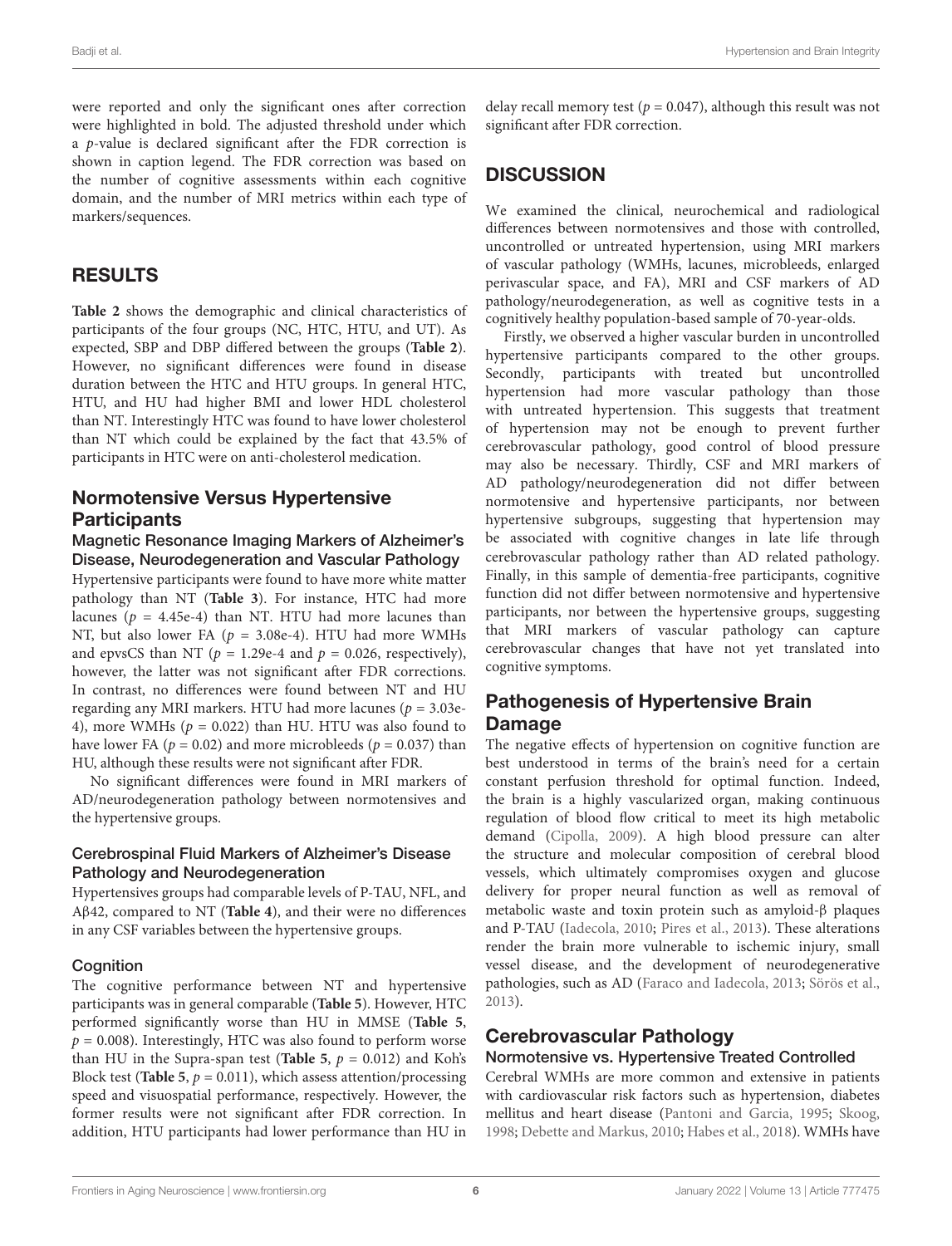were reported and only the significant ones after correction were highlighted in bold. The adjusted threshold under which a p-value is declared significant after the FDR correction is shown in caption legend. The FDR correction was based on the number of cognitive assessments within each cognitive domain, and the number of MRI metrics within each type of markers/sequences.

### RESULTS

**[Table 2](#page-6-0)** shows the demographic and clinical characteristics of participants of the four groups (NC, HTC, HTU, and UT). As expected, SBP and DBP differed between the groups (**[Table 2](#page-6-0)**). However, no significant differences were found in disease duration between the HTC and HTU groups. In general HTC, HTU, and HU had higher BMI and lower HDL cholesterol than NT. Interestingly HTC was found to have lower cholesterol than NT which could be explained by the fact that 43.5% of participants in HTC were on anti-cholesterol medication.

# Normotensive Versus Hypertensive **Participants**

Magnetic Resonance Imaging Markers of Alzheimer's Disease, Neurodegeneration and Vascular Pathology Hypertensive participants were found to have more white matter pathology than NT (**[Table 3](#page-7-0)**). For instance, HTC had more lacunes ( $p = 4.45e-4$ ) than NT. HTU had more lacunes than NT, but also lower FA ( $p = 3.08e-4$ ). HTU had more WMHs and epvsCS than NT ( $p = 1.29e-4$  and  $p = 0.026$ , respectively), however, the latter was not significant after FDR corrections. In contrast, no differences were found between NT and HU regarding any MRI markers. HTU had more lacunes ( $p = 3.03e$ -4), more WMHs ( $p = 0.022$ ) than HU. HTU was also found to have lower FA ( $p = 0.02$ ) and more microbleeds ( $p = 0.037$ ) than HU, although these results were not significant after FDR.

No significant differences were found in MRI markers of AD/neurodegeneration pathology between normotensives and the hypertensive groups.

#### Cerebrospinal Fluid Markers of Alzheimer's Disease Pathology and Neurodegeneration

Hypertensives groups had comparable levels of P-TAU, NFL, and Aβ42, compared to NT (**[Table 4](#page-7-1)**), and their were no differences in any CSF variables between the hypertensive groups.

#### **Cognition**

The cognitive performance between NT and hypertensive participants was in general comparable (**[Table 5](#page-8-0)**). However, HTC performed significantly worse than HU in MMSE (**[Table 5](#page-8-0)**,  $p = 0.008$ ). Interestingly, HTC was also found to perform worse than HU in the Supra-span test (**[Table 5](#page-8-0)**,  $p = 0.012$ ) and Koh's Block test (**[Table 5](#page-8-0)**,  $p = 0.011$ ), which assess attention/processing speed and visuospatial performance, respectively. However, the former results were not significant after FDR correction. In addition, HTU participants had lower performance than HU in

delay recall memory test ( $p = 0.047$ ), although this result was not significant after FDR correction.

# **DISCUSSION**

We examined the clinical, neurochemical and radiological differences between normotensives and those with controlled, uncontrolled or untreated hypertension, using MRI markers of vascular pathology (WMHs, lacunes, microbleeds, enlarged perivascular space, and FA), MRI and CSF markers of AD pathology/neurodegeneration, as well as cognitive tests in a cognitively healthy population-based sample of 70-year-olds.

Firstly, we observed a higher vascular burden in uncontrolled hypertensive participants compared to the other groups. Secondly, participants with treated but uncontrolled hypertension had more vascular pathology than those with untreated hypertension. This suggests that treatment of hypertension may not be enough to prevent further cerebrovascular pathology, good control of blood pressure may also be necessary. Thirdly, CSF and MRI markers of AD pathology/neurodegeneration did not differ between normotensive and hypertensive participants, nor between hypertensive subgroups, suggesting that hypertension may be associated with cognitive changes in late life through cerebrovascular pathology rather than AD related pathology. Finally, in this sample of dementia-free participants, cognitive function did not differ between normotensive and hypertensive participants, nor between the hypertensive groups, suggesting that MRI markers of vascular pathology can capture cerebrovascular changes that have not yet translated into cognitive symptoms.

# Pathogenesis of Hypertensive Brain Damage

The negative effects of hypertension on cognitive function are best understood in terms of the brain's need for a certain constant perfusion threshold for optimal function. Indeed, the brain is a highly vascularized organ, making continuous regulation of blood flow critical to meet its high metabolic demand [\(Cipolla,](#page-11-13) [2009\)](#page-11-13). A high blood pressure can alter the structure and molecular composition of cerebral blood vessels, which ultimately compromises oxygen and glucose delivery for proper neural function as well as removal of metabolic waste and toxin protein such as amyloid-β plaques and P-TAU [\(Iadecola,](#page-12-11) [2010;](#page-12-11) [Pires et al.,](#page-13-11) [2013\)](#page-13-11). These alterations render the brain more vulnerable to ischemic injury, small vessel disease, and the development of neurodegenerative pathologies, such as AD [\(Faraco and Iadecola,](#page-12-12) [2013;](#page-12-12) [Sörös et al.,](#page-13-12) [2013\)](#page-13-12).

# Cerebrovascular Pathology

#### Normotensive vs. Hypertensive Treated Controlled

Cerebral WMHs are more common and extensive in patients with cardiovascular risk factors such as hypertension, diabetes mellitus and heart disease [\(Pantoni and Garcia,](#page-13-13) [1995;](#page-13-13) [Skoog,](#page-13-14) [1998;](#page-13-14) [Debette and Markus,](#page-11-14) [2010;](#page-11-14) [Habes et al.,](#page-12-13) [2018\)](#page-12-13). WMHs have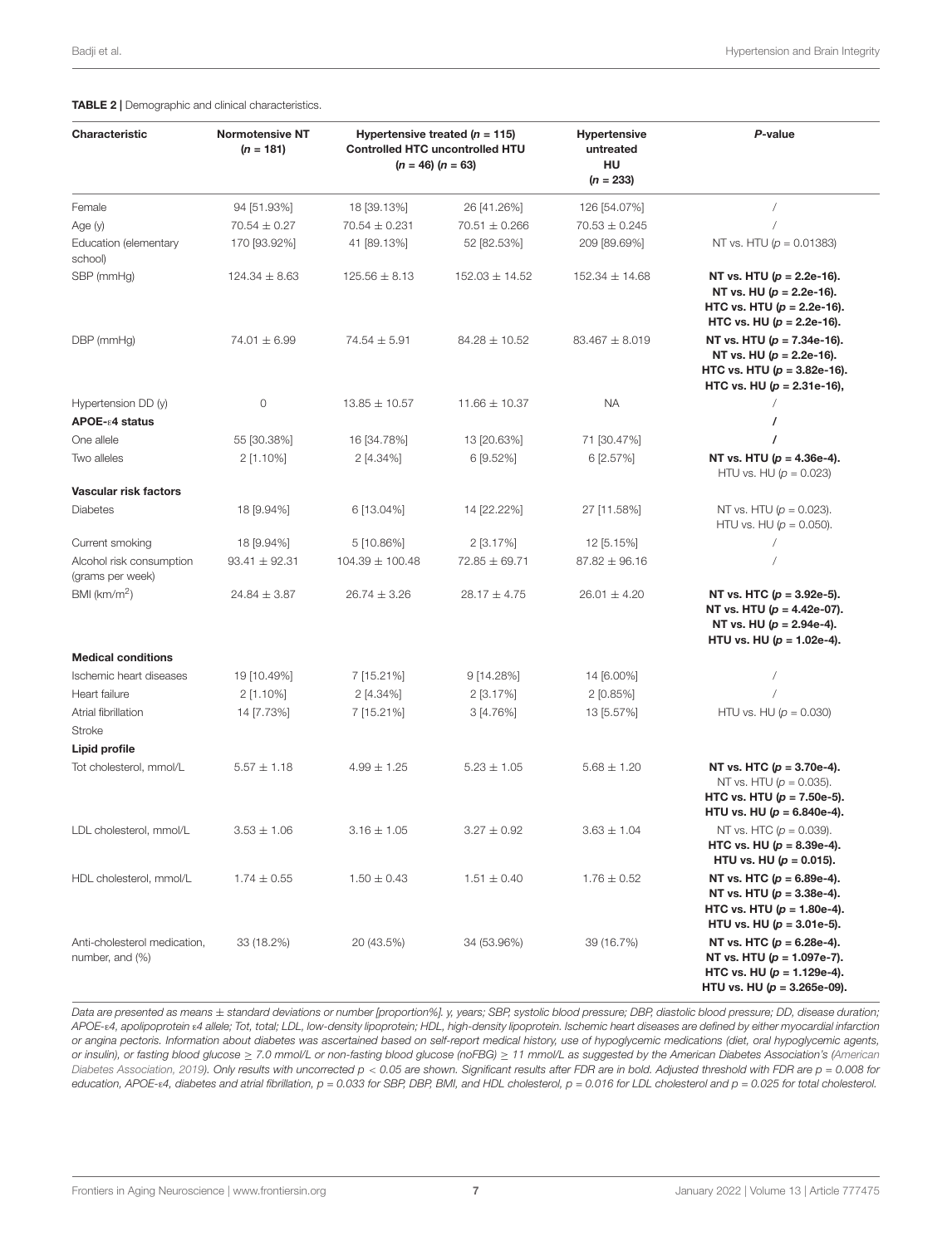| Characteristic                                  | <b>Normotensive NT</b><br>$(n = 181)$ | Hypertensive treated ( $n = 115$ )<br><b>Controlled HTC uncontrolled HTU</b><br>$(n = 46) (n = 63)$ |                    | <b>Hypertensive</b><br>untreated<br>HU<br>$(n = 233)$ | P-value                                                                                                                           |
|-------------------------------------------------|---------------------------------------|-----------------------------------------------------------------------------------------------------|--------------------|-------------------------------------------------------|-----------------------------------------------------------------------------------------------------------------------------------|
| Female                                          | 94 [51.93%]                           | 18 [39.13%]                                                                                         | 26 [41.26%]        | 126 [54.07%]                                          |                                                                                                                                   |
| Age (y)                                         | $70.54 \pm 0.27$                      | 70.54 ± 0.231                                                                                       | $70.51 \pm 0.266$  | $70.53 \pm 0.245$                                     |                                                                                                                                   |
| Education (elementary<br>school)                | 170 [93.92%]                          | 41 [89.13%]                                                                                         | 52 [82.53%]        | 209 [89.69%]                                          | NT vs. HTU ( $p = 0.01383$ )                                                                                                      |
| SBP (mmHg)                                      | $124.34 \pm 8.63$                     | $125.56 \pm 8.13$                                                                                   | $152.03 \pm 14.52$ | $152.34 \pm 14.68$                                    | NT vs. HTU $(p = 2.2e-16)$ .<br>NT vs. HU $(p = 2.2e-16)$ .<br>HTC vs. HTU $(p = 2.2e-16)$ .<br>HTC vs. HU $(p = 2.2e-16)$ .      |
| DBP (mmHg)                                      | $74.01 \pm 6.99$                      | $74.54 \pm 5.91$                                                                                    | $84.28 \pm 10.52$  | $83.467 \pm 8.019$                                    | NT vs. HTU ( $p = 7.34e-16$ ).<br>NT vs. HU $(p = 2.2e-16)$ .<br>HTC vs. HTU $(p = 3.82e-16)$ .<br>HTC vs. HU $(p = 2.31e-16)$ ,  |
| Hypertension DD (y)<br>APOE- ε4 status          | 0                                     | $13.85 \pm 10.57$                                                                                   | $11.66 \pm 10.37$  | <b>NA</b>                                             |                                                                                                                                   |
| One allele                                      | 55 [30.38%]                           | 16 [34.78%]                                                                                         | 13 [20.63%]        | 71 [30.47%]                                           |                                                                                                                                   |
| Two alleles                                     | 2 [1.10%]                             | $2$ [4.34%]                                                                                         | 6 [9.52%]          | 6 [2.57%]                                             | NT vs. HTU ( $p = 4.36e-4$ ).<br>HTU vs. HU ( $p = 0.023$ )                                                                       |
| Vascular risk factors<br><b>Diabetes</b>        | 18 [9.94%]                            | 6 [13.04%]                                                                                          | 14 [22.22%]        | 27 [11.58%]                                           | NT vs. HTU ( $p = 0.023$ ).<br>HTU vs. HU ( $p = 0.050$ ).                                                                        |
| Current smoking                                 | 18 [9.94%]                            | 5 [10.86%]                                                                                          | $2[3.17\%]$        | 12 [5.15%]                                            |                                                                                                                                   |
| Alcohol risk consumption<br>(grams per week)    | $93.41 \pm 92.31$                     | $104.39 \pm 100.48$                                                                                 | $72.85 \pm 69.71$  | $87.82 \pm 96.16$                                     |                                                                                                                                   |
| BMI (km/m <sup>2</sup> )                        | $24.84 \pm 3.87$                      | $26.74 \pm 3.26$                                                                                    | $28.17 \pm 4.75$   | $26.01 \pm 4.20$                                      | NT vs. HTC $(p = 3.92e-5)$ .<br>NT vs. HTU ( $p = 4.42e-07$ ).<br>NT vs. HU ( $p = 2.94e-4$ ).<br>HTU vs. HU $(p = 1.02e-4)$ .    |
| <b>Medical conditions</b>                       |                                       |                                                                                                     |                    |                                                       |                                                                                                                                   |
| Ischemic heart diseases                         | 19 [10.49%]                           | 7 [15.21%]                                                                                          | 9 [14.28%]         | 14 [6.00%]                                            |                                                                                                                                   |
| Heart failure                                   | $2$ [1.10%]                           | 2 [4.34%]                                                                                           | 2 [3.17%]          | $2$ [0.85%]                                           |                                                                                                                                   |
| Atrial fibrillation<br>Stroke<br>Lipid profile  | 14 [7.73%]                            | 7 [15.21%]                                                                                          | $3[4.76\%]$        | 13 [5.57%]                                            | HTU vs. HU ( $p = 0.030$ )                                                                                                        |
| Tot cholesterol, mmol/L                         | $5.57 \pm 1.18$                       | $4.99 \pm 1.25$                                                                                     | $5.23 \pm 1.05$    | $5.68 \pm 1.20$                                       | NT vs. HTC ( $p = 3.70e-4$ ).<br>NT vs. HTU ( $p = 0.035$ ).<br>HTC vs. HTU $(p = 7.50e-5)$ .<br>HTU vs. HU ( $p = 6.840e-4$ ).   |
| LDL cholesterol, mmol/L                         | $3.53 \pm 1.06$                       | $3.16 \pm 1.05$                                                                                     | $3.27 \pm 0.92$    | $3.63 \pm 1.04$                                       | NT vs. HTC ( $p = 0.039$ ).<br>HTC vs. HU $(p = 8.39e-4)$ .<br>HTU vs. HU ( $p = 0.015$ ).                                        |
| HDL cholesterol, mmol/L                         | $1.74 \pm 0.55$                       | $1.50 \pm 0.43$                                                                                     | $1.51 \pm 0.40$    | $1.76 \pm 0.52$                                       | NT vs. HTC $(p = 6.89e-4)$ .<br>NT vs. HTU ( $p = 3.38e-4$ ).<br>HTC vs. HTU (p = 1.80e-4).<br>HTU vs. HU $(p = 3.01e-5)$ .       |
| Anti-cholesterol medication,<br>number, and (%) | 33 (18.2%)                            | 20 (43.5%)                                                                                          | 34 (53.96%)        | 39 (16.7%)                                            | NT vs. HTC $(p = 6.28e-4)$ .<br>NT vs. HTU $(p = 1.097e-7)$ .<br>HTC vs. HU $(p = 1.129e-4)$ .<br>HTU vs. HU ( $p = 3.265e-09$ ). |

<span id="page-6-0"></span>TABLE 2 | Demographic and clinical characteristics.

Data are presented as means  $\pm$  standard deviations or number [proportion%]. y, years; SBP, systolic blood pressure; DBP, diastolic blood pressure; DD, disease duration; APOE-ε4, apolipoprotein ε4 allele; Tot, total; LDL, low-density lipoprotein; HDL, high-density lipoprotein. Ischemic heart diseases are defined by either myocardial infarction or angina pectoris. Information about diabetes was ascertained based on self-report medical history, use of hypoglycemic medications (diet, oral hypoglycemic agents, or insulin), or fasting blood glucose ≥ 7.0 mmol/L or non-fasting blood glucose (noFBG) ≥ 11 mmol/L as suggested by the American Diabetes Association's [\(American](#page-11-15) [Diabetes Association,](#page-11-15) [2019\)](#page-11-15). Only results with uncorrected p < 0.05 are shown. Significant results after FDR are in bold. Adjusted threshold with FDR are p = 0.008 for education, APOE-ε4, diabetes and atrial fibrillation,  $p = 0.033$  for SBP, DBP, BMI, and HDL cholesterol,  $p = 0.016$  for LDL cholesterol and  $p = 0.025$  for total cholesterol.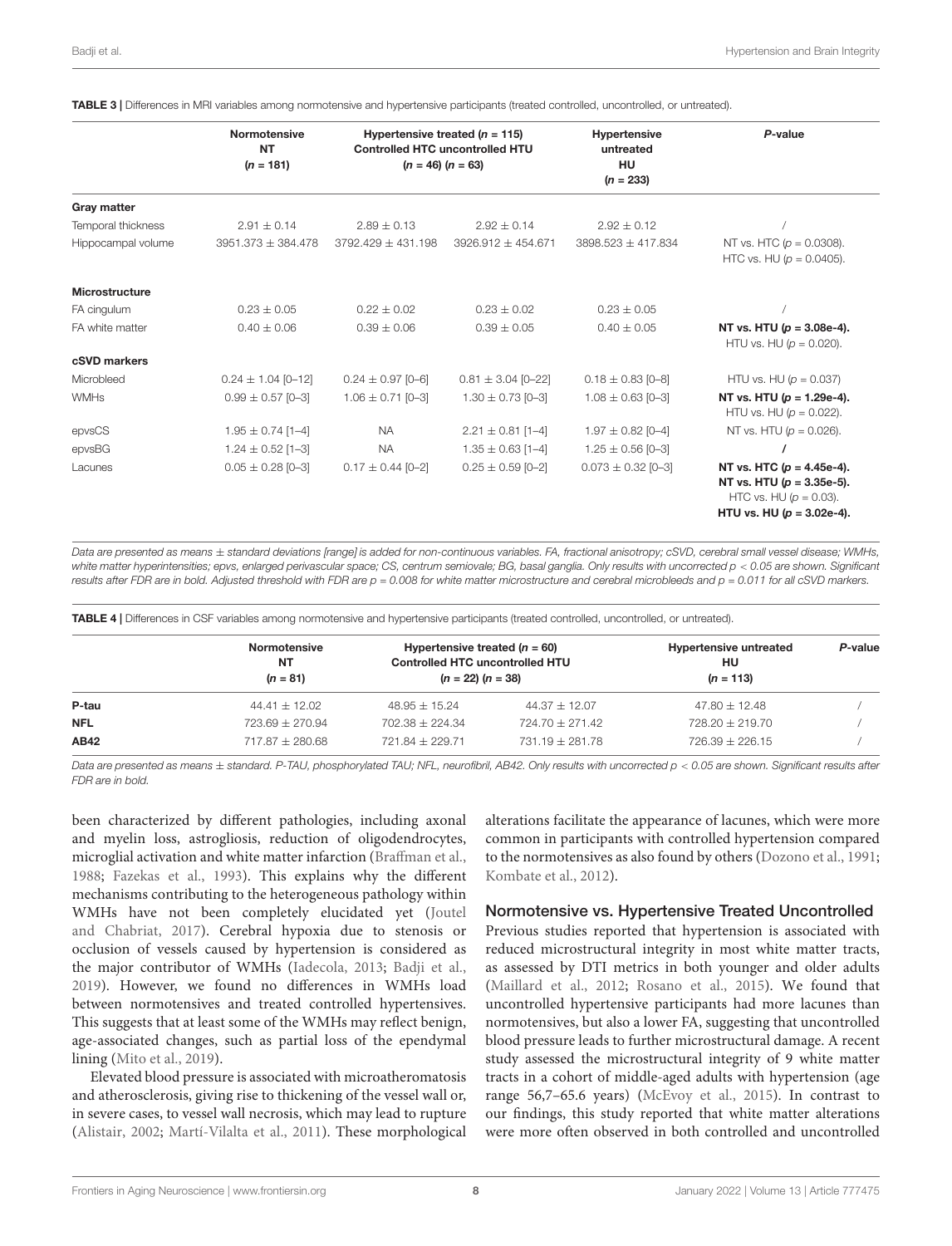|                       | <b>Normotensive</b><br><b>NT</b><br>$(n = 181)$ | Hypertensive treated ( $n = 115$ )<br><b>Controlled HTC uncontrolled HTU</b><br>$(n = 46) (n = 63)$ |                        | Hypertensive<br>untreated<br>HU<br>$(n = 233)$ | P-value                                                                                                                     |
|-----------------------|-------------------------------------------------|-----------------------------------------------------------------------------------------------------|------------------------|------------------------------------------------|-----------------------------------------------------------------------------------------------------------------------------|
| <b>Gray matter</b>    |                                                 |                                                                                                     |                        |                                                |                                                                                                                             |
| Temporal thickness    | $2.91 \pm 0.14$                                 | $2.89 \pm 0.13$                                                                                     | $2.92 \pm 0.14$        | $2.92 \pm 0.12$                                |                                                                                                                             |
| Hippocampal volume    | $3951.373 \pm 384.478$                          | $3792.429 \pm 431.198$                                                                              | $3926.912 \pm 454.671$ | $3898.523 \pm 417.834$                         | NT vs. HTC ( $p = 0.0308$ ).<br>HTC vs. HU ( $p = 0.0405$ ).                                                                |
| <b>Microstructure</b> |                                                 |                                                                                                     |                        |                                                |                                                                                                                             |
| FA cingulum           | $0.23 \pm 0.05$                                 | $0.22 \pm 0.02$                                                                                     | $0.23 \pm 0.02$        | $0.23 \pm 0.05$                                |                                                                                                                             |
| FA white matter       | $0.40 \pm 0.06$                                 | $0.39 \pm 0.06$                                                                                     | $0.39 \pm 0.05$        | $0.40 \pm 0.05$                                | NT vs. HTU $(p = 3.08e-4)$ .<br>HTU vs. HU ( $p = 0.020$ ).                                                                 |
| cSVD markers          |                                                 |                                                                                                     |                        |                                                |                                                                                                                             |
| Microbleed            | $0.24 \pm 1.04$ [0-12]                          | $0.24 \pm 0.97$ [0-6]                                                                               | $0.81 \pm 3.04$ [0-22] | $0.18 \pm 0.83$ [0-8]                          | HTU vs. HU ( $p = 0.037$ )                                                                                                  |
| <b>WMHs</b>           | $0.99 \pm 0.57$ [0-3]                           | $1.06 \pm 0.71$ [0-3]                                                                               | $1.30 \pm 0.73$ [0-3]  | $1.08 \pm 0.63$ [0-3]                          | NT vs. HTU $(p = 1.29e-4)$ .<br>HTU vs. HU ( $p = 0.022$ ).                                                                 |
| epvsCS                | $1.95 \pm 0.74$ [1-4]                           | <b>NA</b>                                                                                           | $2.21 \pm 0.81$ [1-4]  | $1.97 \pm 0.82$ [0-4]                          | NT vs. HTU ( $p = 0.026$ ).                                                                                                 |
| epvsBG                | $1.24 \pm 0.52$ [1-3]                           | <b>NA</b>                                                                                           | $1.35 \pm 0.63$ [1-4]  | $1.25 \pm 0.56$ [0-3]                          |                                                                                                                             |
| Lacunes               | $0.05 \pm 0.28$ [0-3]                           | $0.17 \pm 0.44$ [0-2]                                                                               | $0.25 \pm 0.59$ [0-2]  | $0.073 \pm 0.32$ [0-3]                         | NT vs. HTC $(p = 4.45e-4)$ .<br>NT vs. HTU $(p = 3.35e-5)$ .<br>HTC vs. HU ( $p = 0.03$ ).<br>HTU vs. HU ( $p = 3.02e-4$ ). |

<span id="page-7-0"></span>TABLE 3 | Differences in MRI variables among normotensive and hypertensive participants (treated controlled, uncontrolled, or untreated).

Data are presented as means ± standard deviations [range] is added for non-continuous variables. FA, fractional anisotropy; cSVD, cerebral small vessel disease; WMHs, white matter hyperintensities; epvs, enlarged perivascular space; CS, centrum semiovale; BG, basal ganglia, Only results with uncorrected p < 0.05 are shown. Significant results after FDR are in bold. Adjusted threshold with FDR are p = 0.008 for white matter microstructure and cerebral microbleeds and p = 0.011 for all cSVD markers.

<span id="page-7-1"></span>TABLE 4 | Differences in CSF variables among normotensive and hypertensive participants (treated controlled, uncontrolled, or untreated). Normotensive NT  $(n = 81)$ Hypertensive treated ( $n = 60$ ) Controlled HTC uncontrolled HTU  $(n = 22) (n = 38)$ Hypertensive untreated HU  $(n = 113)$ P-value **P-tau** 44.41  $\pm$  12.02 48.95  $\pm$  15.24 44.37  $\pm$  12.07 47.80  $\pm$  12.48 **NFL** 723.69  $\pm$  270.94 702.38  $\pm$  224.34 724.70  $\pm$  271.42 728.20  $\pm$  219.70 **AB42** 717.87  $\pm$  280.68 721.84  $\pm$  229.71 731.19  $\pm$  281.78 726.39  $\pm$  226.15

Data are presented as means  $\pm$  standard. P-TAU, phosphorylated TAU; NFL, neurofibril, AB42. Only results with uncorrected p < 0.05 are shown. Significant results after FDR are in bold.

been characterized by different pathologies, including axonal and myelin loss, astrogliosis, reduction of oligodendrocytes, microglial activation and white matter infarction [\(Braffman et al.,](#page-11-16) [1988;](#page-11-16) [Fazekas et al.,](#page-12-14) [1993\)](#page-12-14). This explains why the different mechanisms contributing to the heterogeneous pathology within WMHs have not been completely elucidated yet [\(Joutel](#page-12-15) [and Chabriat,](#page-12-15) [2017\)](#page-12-15). Cerebral hypoxia due to stenosis or occlusion of vessels caused by hypertension is considered as the major contributor of WMHs [\(Iadecola,](#page-12-16) [2013;](#page-12-16) [Badji et al.,](#page-11-2) [2019\)](#page-11-2). However, we found no differences in WMHs load between normotensives and treated controlled hypertensives. This suggests that at least some of the WMHs may reflect benign, age-associated changes, such as partial loss of the ependymal lining [\(Mito et al.,](#page-12-17) [2019\)](#page-12-17).

Elevated blood pressure is associated with microatheromatosis and atherosclerosis, giving rise to thickening of the vessel wall or, in severe cases, to vessel wall necrosis, which may lead to rupture [\(Alistair,](#page-11-17) [2002;](#page-11-17) [Martí-Vilalta et al.,](#page-12-18) [2011\)](#page-12-18). These morphological

alterations facilitate the appearance of lacunes, which were more common in participants with controlled hypertension compared to the normotensives as also found by others [\(Dozono et al.,](#page-11-18) [1991;](#page-11-18) [Kombate et al.,](#page-12-19) [2012\)](#page-12-19).

#### Normotensive vs. Hypertensive Treated Uncontrolled

Previous studies reported that hypertension is associated with reduced microstructural integrity in most white matter tracts, as assessed by DTI metrics in both younger and older adults [\(Maillard et al.,](#page-12-20) [2012;](#page-12-20) [Rosano et al.,](#page-13-15) [2015\)](#page-13-15). We found that uncontrolled hypertensive participants had more lacunes than normotensives, but also a lower FA, suggesting that uncontrolled blood pressure leads to further microstructural damage. A recent study assessed the microstructural integrity of 9 white matter tracts in a cohort of middle-aged adults with hypertension (age range 56,7–65.6 years) [\(McEvoy et al.,](#page-12-21) [2015\)](#page-12-21). In contrast to our findings, this study reported that white matter alterations were more often observed in both controlled and uncontrolled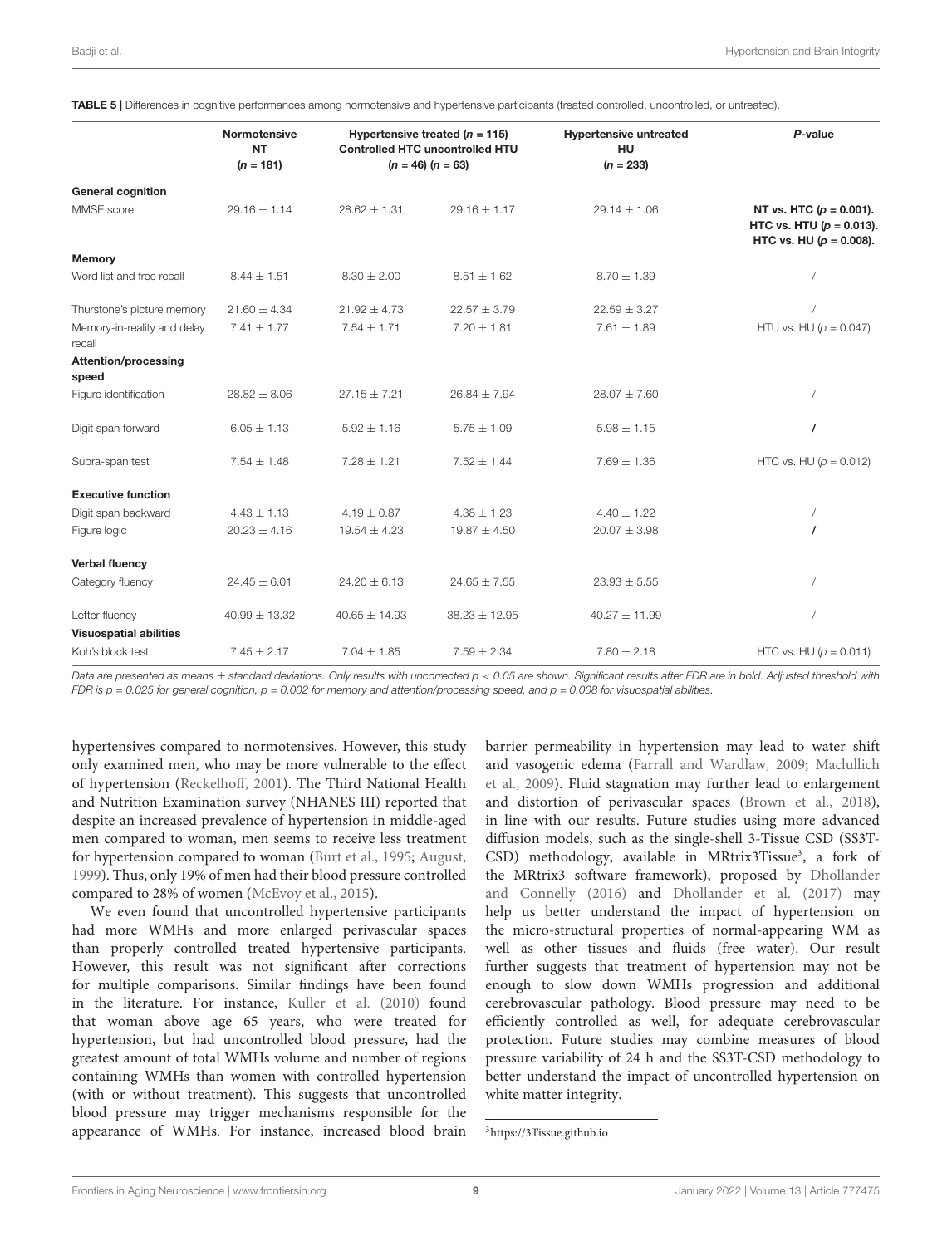|                                       | <b>Normotensive</b><br><b>NT</b><br>$(n = 181)$ | Hypertensive treated $(n = 115)$<br><b>Controlled HTC uncontrolled HTU</b><br>$(n = 46) (n = 63)$ |                   | <b>Hypertensive untreated</b><br>HU<br>$(n = 233)$ | P-value                                                                                    |
|---------------------------------------|-------------------------------------------------|---------------------------------------------------------------------------------------------------|-------------------|----------------------------------------------------|--------------------------------------------------------------------------------------------|
| <b>General cognition</b>              |                                                 |                                                                                                   |                   |                                                    |                                                                                            |
| MMSE score                            | $29.16 \pm 1.14$                                | $28.62 \pm 1.31$                                                                                  | $29.16 \pm 1.17$  | $29.14 \pm 1.06$                                   | NT vs. HTC ( $p = 0.001$ ).<br>HTC vs. HTU ( $p = 0.013$ ).<br>HTC vs. HU ( $p = 0.008$ ). |
| <b>Memory</b>                         |                                                 |                                                                                                   |                   |                                                    |                                                                                            |
| Word list and free recall             | $8.44 \pm 1.51$                                 | $8.30 \pm 2.00$                                                                                   | $8.51 \pm 1.62$   | $8.70 \pm 1.39$                                    |                                                                                            |
| Thurstone's picture memory            | $21.60 \pm 4.34$                                | $21.92 \pm 4.73$                                                                                  | $22.57 \pm 3.79$  | $22.59 \pm 3.27$                                   |                                                                                            |
| Memory-in-reality and delay<br>recall | $7.41 \pm 1.77$                                 | $7.54 \pm 1.71$                                                                                   | $7.20 \pm 1.81$   | $7.61 \pm 1.89$                                    | HTU vs. HU ( $p = 0.047$ )                                                                 |
| <b>Attention/processing</b><br>speed  |                                                 |                                                                                                   |                   |                                                    |                                                                                            |
| Figure identification                 | $28.82 \pm 8.06$                                | $27.15 \pm 7.21$                                                                                  | $26.84 \pm 7.94$  | $28.07 \pm 7.60$                                   |                                                                                            |
| Digit span forward                    | $6.05 \pm 1.13$                                 | $5.92 \pm 1.16$                                                                                   | $5.75 \pm 1.09$   | $5.98 \pm 1.15$                                    | $\prime$                                                                                   |
| Supra-span test                       | $7.54 \pm 1.48$                                 | $7.28 \pm 1.21$                                                                                   | $7.52 \pm 1.44$   | $7.69 \pm 1.36$                                    | HTC vs. HU ( $p = 0.012$ )                                                                 |
| <b>Executive function</b>             |                                                 |                                                                                                   |                   |                                                    |                                                                                            |
| Digit span backward                   | $4.43 \pm 1.13$                                 | $4.19 \pm 0.87$                                                                                   | $4.38 \pm 1.23$   | $4.40 \pm 1.22$                                    |                                                                                            |
| Figure logic                          | $20.23 \pm 4.16$                                | $19.54 \pm 4.23$                                                                                  | $19.87 \pm 4.50$  | $20.07 \pm 3.98$                                   | $\prime$                                                                                   |
| <b>Verbal fluency</b>                 |                                                 |                                                                                                   |                   |                                                    |                                                                                            |
| Category fluency                      | $24.45 \pm 6.01$                                | $24.20 \pm 6.13$                                                                                  | $24.65 \pm 7.55$  | $23.93 \pm 5.55$                                   |                                                                                            |
| Letter fluency                        | $40.99 \pm 13.32$                               | $40.65 \pm 14.93$                                                                                 | $38.23 \pm 12.95$ | $40.27 \pm 11.99$                                  |                                                                                            |
| <b>Visuospatial abilities</b>         |                                                 |                                                                                                   |                   |                                                    |                                                                                            |
| Koh's block test                      | $7.45 \pm 2.17$                                 | $7.04 \pm 1.85$                                                                                   | $7.59 \pm 2.34$   | $7.80 \pm 2.18$                                    | HTC vs. HU ( $p = 0.011$ )                                                                 |

<span id="page-8-0"></span>TABLE 5 | Differences in cognitive performances among normotensive and hypertensive participants (treated controlled, uncontrolled, or untreated).

Data are presented as means ± standard deviations. Only results with uncorrected p < 0.05 are shown. Significant results after FDR are in bold. Adjusted threshold with FDR is  $p = 0.025$  for general cognition,  $p = 0.002$  for memory and attention/processing speed, and  $p = 0.008$  for visuospatial abilities.

hypertensives compared to normotensives. However, this study only examined men, who may be more vulnerable to the effect of hypertension [\(Reckelhoff,](#page-13-16) [2001\)](#page-13-16). The Third National Health and Nutrition Examination survey (NHANES III) reported that despite an increased prevalence of hypertension in middle-aged men compared to woman, men seems to receive less treatment for hypertension compared to woman [\(Burt et al.,](#page-11-19) [1995;](#page-11-19) [August,](#page-11-20) [1999\)](#page-11-20). Thus, only 19% of men had their blood pressure controlled compared to 28% of women [\(McEvoy et al.,](#page-12-21) [2015\)](#page-12-21).

We even found that uncontrolled hypertensive participants had more WMHs and more enlarged perivascular spaces than properly controlled treated hypertensive participants. However, this result was not significant after corrections for multiple comparisons. Similar findings have been found in the literature. For instance, [Kuller et al.](#page-12-22) [\(2010\)](#page-12-22) found that woman above age 65 years, who were treated for hypertension, but had uncontrolled blood pressure, had the greatest amount of total WMHs volume and number of regions containing WMHs than women with controlled hypertension (with or without treatment). This suggests that uncontrolled blood pressure may trigger mechanisms responsible for the appearance of WMHs. For instance, increased blood brain

barrier permeability in hypertension may lead to water shift and vasogenic edema [\(Farrall and Wardlaw,](#page-12-23) [2009;](#page-12-23) [Maclullich](#page-12-24) [et al.,](#page-12-24) [2009\)](#page-12-24). Fluid stagnation may further lead to enlargement and distortion of perivascular spaces [\(Brown et al.,](#page-11-0) [2018\)](#page-11-0), in line with our results. Future studies using more advanced diffusion models, such as the single-shell 3-Tissue CSD (SS3T-CSD) methodology, available in MRtrix[3](#page-8-1)Tissue<sup>3</sup>, a fork of the MRtrix3 software framework), proposed by [Dhollander](#page-11-21) [and Connelly](#page-11-21) [\(2016\)](#page-11-21) and [Dhollander et al.](#page-11-22) [\(2017\)](#page-11-22) may help us better understand the impact of hypertension on the micro-structural properties of normal-appearing WM as well as other tissues and fluids (free water). Our result further suggests that treatment of hypertension may not be enough to slow down WMHs progression and additional cerebrovascular pathology. Blood pressure may need to be efficiently controlled as well, for adequate cerebrovascular protection. Future studies may combine measures of blood pressure variability of 24 h and the SS3T-CSD methodology to better understand the impact of uncontrolled hypertension on white matter integrity.

<span id="page-8-1"></span><sup>3</sup><https://3Tissue.github.io>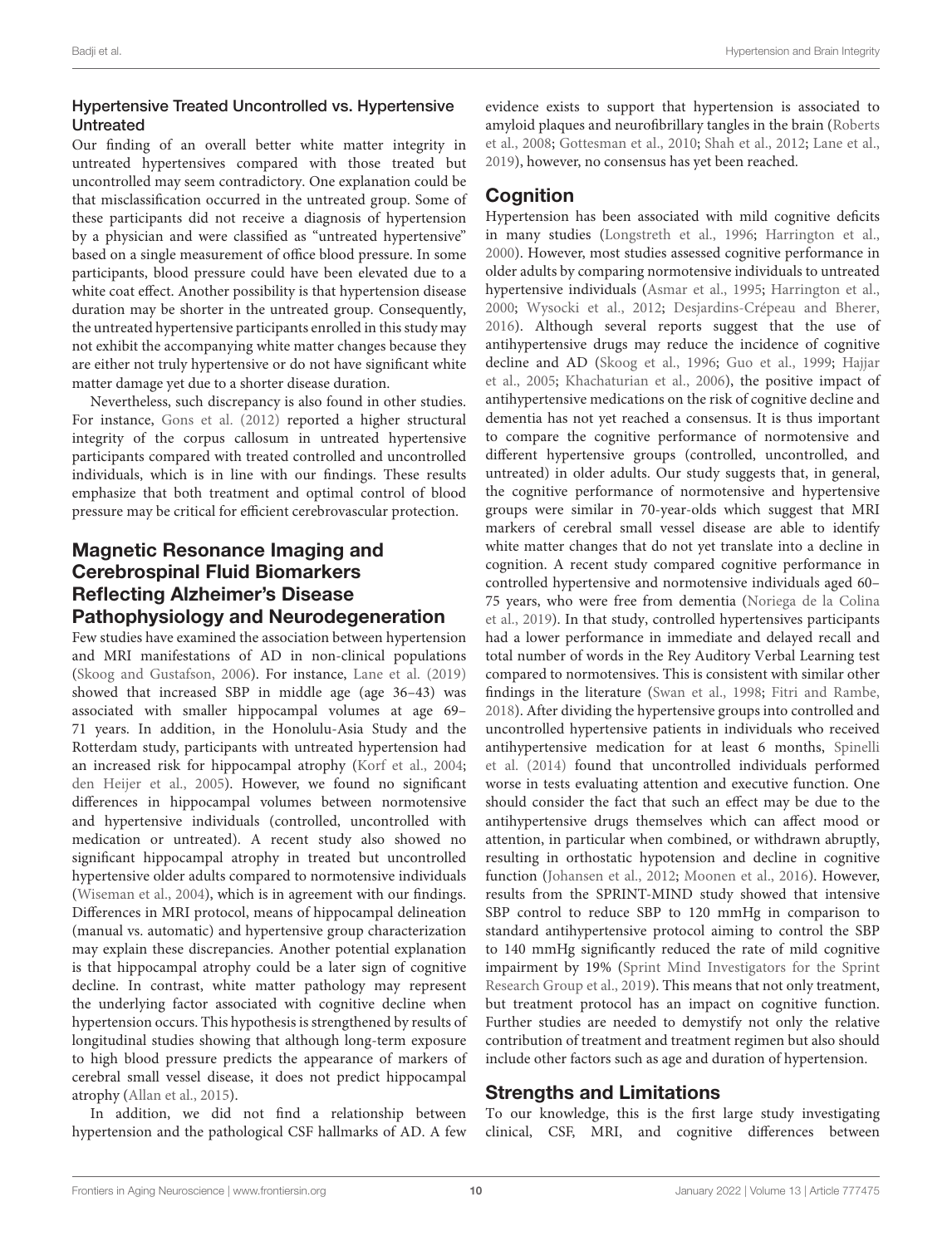#### Hypertensive Treated Uncontrolled vs. Hypertensive Untreated

Our finding of an overall better white matter integrity in untreated hypertensives compared with those treated but uncontrolled may seem contradictory. One explanation could be that misclassification occurred in the untreated group. Some of these participants did not receive a diagnosis of hypertension by a physician and were classified as "untreated hypertensive" based on a single measurement of office blood pressure. In some participants, blood pressure could have been elevated due to a white coat effect. Another possibility is that hypertension disease duration may be shorter in the untreated group. Consequently, the untreated hypertensive participants enrolled in this study may not exhibit the accompanying white matter changes because they are either not truly hypertensive or do not have significant white matter damage yet due to a shorter disease duration.

Nevertheless, such discrepancy is also found in other studies. For instance, [Gons et al.](#page-12-25) [\(2012\)](#page-12-25) reported a higher structural integrity of the corpus callosum in untreated hypertensive participants compared with treated controlled and uncontrolled individuals, which is in line with our findings. These results emphasize that both treatment and optimal control of blood pressure may be critical for efficient cerebrovascular protection.

# Magnetic Resonance Imaging and Cerebrospinal Fluid Biomarkers Reflecting Alzheimer's Disease Pathophysiology and Neurodegeneration

Few studies have examined the association between hypertension and MRI manifestations of AD in non-clinical populations [\(Skoog and Gustafson,](#page-13-17) [2006\)](#page-13-17). For instance, [Lane et al.](#page-12-26) [\(2019\)](#page-12-26) showed that increased SBP in middle age (age 36–43) was associated with smaller hippocampal volumes at age 69– 71 years. In addition, in the Honolulu-Asia Study and the Rotterdam study, participants with untreated hypertension had an increased risk for hippocampal atrophy [\(Korf et al.,](#page-12-27) [2004;](#page-12-27) [den Heijer et al.,](#page-11-23) [2005\)](#page-11-23). However, we found no significant differences in hippocampal volumes between normotensive and hypertensive individuals (controlled, uncontrolled with medication or untreated). A recent study also showed no significant hippocampal atrophy in treated but uncontrolled hypertensive older adults compared to normotensive individuals [\(Wiseman et al.,](#page-13-18) [2004\)](#page-13-18), which is in agreement with our findings. Differences in MRI protocol, means of hippocampal delineation (manual vs. automatic) and hypertensive group characterization may explain these discrepancies. Another potential explanation is that hippocampal atrophy could be a later sign of cognitive decline. In contrast, white matter pathology may represent the underlying factor associated with cognitive decline when hypertension occurs. This hypothesis is strengthened by results of longitudinal studies showing that although long-term exposure to high blood pressure predicts the appearance of markers of cerebral small vessel disease, it does not predict hippocampal atrophy [\(Allan et al.,](#page-11-24) [2015\)](#page-11-24).

In addition, we did not find a relationship between hypertension and the pathological CSF hallmarks of AD. A few

evidence exists to support that hypertension is associated to amyloid plaques and neurofibrillary tangles in the brain [\(Roberts](#page-13-19) [et al.,](#page-13-19) [2008;](#page-13-19) [Gottesman et al.,](#page-12-28) [2010;](#page-12-28) [Shah et al.,](#page-13-20) [2012;](#page-13-20) [Lane et al.,](#page-12-26) [2019\)](#page-12-26), however, no consensus has yet been reached.

# Cognition

Hypertension has been associated with mild cognitive deficits in many studies [\(Longstreth et al.,](#page-12-29) [1996;](#page-12-29) [Harrington et al.,](#page-12-30) [2000\)](#page-12-30). However, most studies assessed cognitive performance in older adults by comparing normotensive individuals to untreated hypertensive individuals [\(Asmar et al.,](#page-11-25) [1995;](#page-11-25) [Harrington et al.,](#page-12-30) [2000;](#page-12-30) [Wysocki et al.,](#page-13-21) [2012;](#page-13-21) [Desjardins-Crépeau and Bherer,](#page-11-26) [2016\)](#page-11-26). Although several reports suggest that the use of antihypertensive drugs may reduce the incidence of cognitive decline and AD [\(Skoog et al.,](#page-13-22) [1996;](#page-13-22) [Guo et al.,](#page-12-31) [1999;](#page-12-31) [Hajjar](#page-12-32) [et al.,](#page-12-32) [2005;](#page-12-32) [Khachaturian et al.,](#page-12-33) [2006\)](#page-12-33), the positive impact of antihypertensive medications on the risk of cognitive decline and dementia has not yet reached a consensus. It is thus important to compare the cognitive performance of normotensive and different hypertensive groups (controlled, uncontrolled, and untreated) in older adults. Our study suggests that, in general, the cognitive performance of normotensive and hypertensive groups were similar in 70-year-olds which suggest that MRI markers of cerebral small vessel disease are able to identify white matter changes that do not yet translate into a decline in cognition. A recent study compared cognitive performance in controlled hypertensive and normotensive individuals aged 60– 75 years, who were free from dementia [\(Noriega de la Colina](#page-13-23) [et al.,](#page-13-23) [2019\)](#page-13-23). In that study, controlled hypertensives participants had a lower performance in immediate and delayed recall and total number of words in the Rey Auditory Verbal Learning test compared to normotensives. This is consistent with similar other findings in the literature [\(Swan et al.,](#page-13-24) [1998;](#page-13-24) [Fitri and Rambe,](#page-12-34) [2018\)](#page-12-34). After dividing the hypertensive groups into controlled and uncontrolled hypertensive patients in individuals who received antihypertensive medication for at least 6 months, [Spinelli](#page-13-25) [et al.](#page-13-25) [\(2014\)](#page-13-25) found that uncontrolled individuals performed worse in tests evaluating attention and executive function. One should consider the fact that such an effect may be due to the antihypertensive drugs themselves which can affect mood or attention, in particular when combined, or withdrawn abruptly, resulting in orthostatic hypotension and decline in cognitive function [\(Johansen et al.,](#page-12-35) [2012;](#page-12-35) [Moonen et al.,](#page-12-36) [2016\)](#page-12-36). However, results from the SPRINT-MIND study showed that intensive SBP control to reduce SBP to 120 mmHg in comparison to standard antihypertensive protocol aiming to control the SBP to 140 mmHg significantly reduced the rate of mild cognitive impairment by 19% [\(Sprint Mind Investigators for the Sprint](#page-13-26) [Research Group et al.,](#page-13-26) [2019\)](#page-13-26). This means that not only treatment, but treatment protocol has an impact on cognitive function. Further studies are needed to demystify not only the relative contribution of treatment and treatment regimen but also should include other factors such as age and duration of hypertension.

# Strengths and Limitations

To our knowledge, this is the first large study investigating clinical, CSF, MRI, and cognitive differences between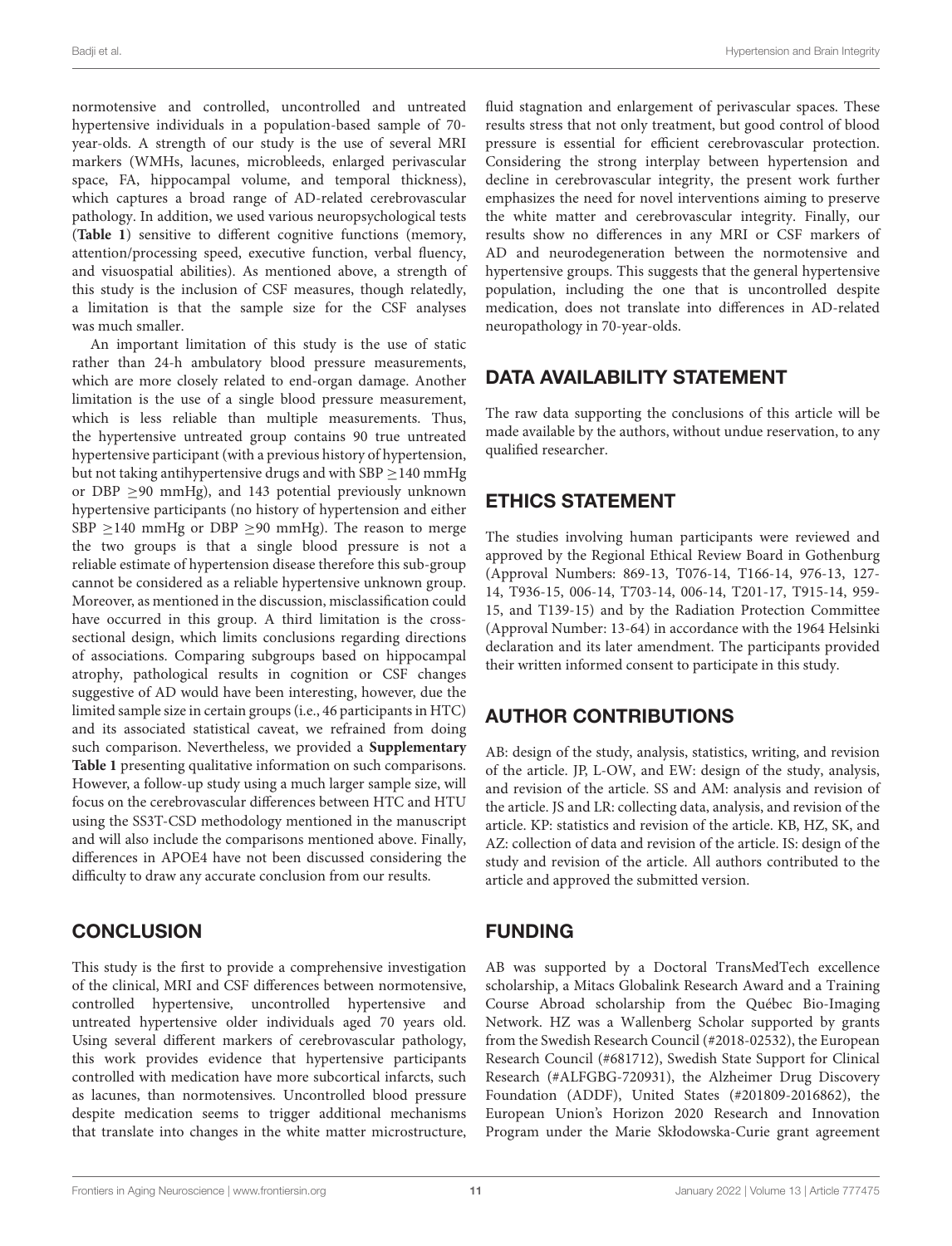normotensive and controlled, uncontrolled and untreated hypertensive individuals in a population-based sample of 70 year-olds. A strength of our study is the use of several MRI markers (WMHs, lacunes, microbleeds, enlarged perivascular space, FA, hippocampal volume, and temporal thickness), which captures a broad range of AD-related cerebrovascular pathology. In addition, we used various neuropsychological tests (**[Table 1](#page-3-0)**) sensitive to different cognitive functions (memory, attention/processing speed, executive function, verbal fluency, and visuospatial abilities). As mentioned above, a strength of this study is the inclusion of CSF measures, though relatedly, a limitation is that the sample size for the CSF analyses was much smaller.

An important limitation of this study is the use of static rather than 24-h ambulatory blood pressure measurements, which are more closely related to end-organ damage. Another limitation is the use of a single blood pressure measurement, which is less reliable than multiple measurements. Thus, the hypertensive untreated group contains 90 true untreated hypertensive participant (with a previous history of hypertension, but not taking antihypertensive drugs and with  $SBP \geq 140$  mmHg or DBP  $\geq$ 90 mmHg), and 143 potential previously unknown hypertensive participants (no history of hypertension and either SBP  $\geq$ 140 mmHg or DBP  $\geq$ 90 mmHg). The reason to merge the two groups is that a single blood pressure is not a reliable estimate of hypertension disease therefore this sub-group cannot be considered as a reliable hypertensive unknown group. Moreover, as mentioned in the discussion, misclassification could have occurred in this group. A third limitation is the crosssectional design, which limits conclusions regarding directions of associations. Comparing subgroups based on hippocampal atrophy, pathological results in cognition or CSF changes suggestive of AD would have been interesting, however, due the limited sample size in certain groups (i.e., 46 participants in HTC) and its associated statistical caveat, we refrained from doing such comparison. Nevertheless, we provided a **[Supplementary](#page-11-27) [Table 1](#page-11-27)** presenting qualitative information on such comparisons. However, a follow-up study using a much larger sample size, will focus on the cerebrovascular differences between HTC and HTU using the SS3T-CSD methodology mentioned in the manuscript and will also include the comparisons mentioned above. Finally, differences in APOE4 have not been discussed considering the difficulty to draw any accurate conclusion from our results.

# **CONCLUSION**

This study is the first to provide a comprehensive investigation of the clinical, MRI and CSF differences between normotensive, controlled hypertensive, uncontrolled hypertensive and untreated hypertensive older individuals aged 70 years old. Using several different markers of cerebrovascular pathology, this work provides evidence that hypertensive participants controlled with medication have more subcortical infarcts, such as lacunes, than normotensives. Uncontrolled blood pressure despite medication seems to trigger additional mechanisms that translate into changes in the white matter microstructure,

fluid stagnation and enlargement of perivascular spaces. These results stress that not only treatment, but good control of blood pressure is essential for efficient cerebrovascular protection. Considering the strong interplay between hypertension and decline in cerebrovascular integrity, the present work further emphasizes the need for novel interventions aiming to preserve the white matter and cerebrovascular integrity. Finally, our results show no differences in any MRI or CSF markers of AD and neurodegeneration between the normotensive and hypertensive groups. This suggests that the general hypertensive population, including the one that is uncontrolled despite medication, does not translate into differences in AD-related neuropathology in 70-year-olds.

# DATA AVAILABILITY STATEMENT

The raw data supporting the conclusions of this article will be made available by the authors, without undue reservation, to any qualified researcher.

# ETHICS STATEMENT

The studies involving human participants were reviewed and approved by the Regional Ethical Review Board in Gothenburg (Approval Numbers: 869-13, T076-14, T166-14, 976-13, 127- 14, T936-15, 006-14, T703-14, 006-14, T201-17, T915-14, 959- 15, and T139-15) and by the Radiation Protection Committee (Approval Number: 13-64) in accordance with the 1964 Helsinki declaration and its later amendment. The participants provided their written informed consent to participate in this study.

# AUTHOR CONTRIBUTIONS

AB: design of the study, analysis, statistics, writing, and revision of the article. JP, L-OW, and EW: design of the study, analysis, and revision of the article. SS and AM: analysis and revision of the article. JS and LR: collecting data, analysis, and revision of the article. KP: statistics and revision of the article. KB, HZ, SK, and AZ: collection of data and revision of the article. IS: design of the study and revision of the article. All authors contributed to the article and approved the submitted version.

# FUNDING

AB was supported by a Doctoral TransMedTech excellence scholarship, a Mitacs Globalink Research Award and a Training Course Abroad scholarship from the Québec Bio-Imaging Network. HZ was a Wallenberg Scholar supported by grants from the Swedish Research Council (#2018-02532), the European Research Council (#681712), Swedish State Support for Clinical Research (#ALFGBG-720931), the Alzheimer Drug Discovery Foundation (ADDF), United States (#201809-2016862), the European Union's Horizon 2020 Research and Innovation Program under the Marie Skłodowska-Curie grant agreement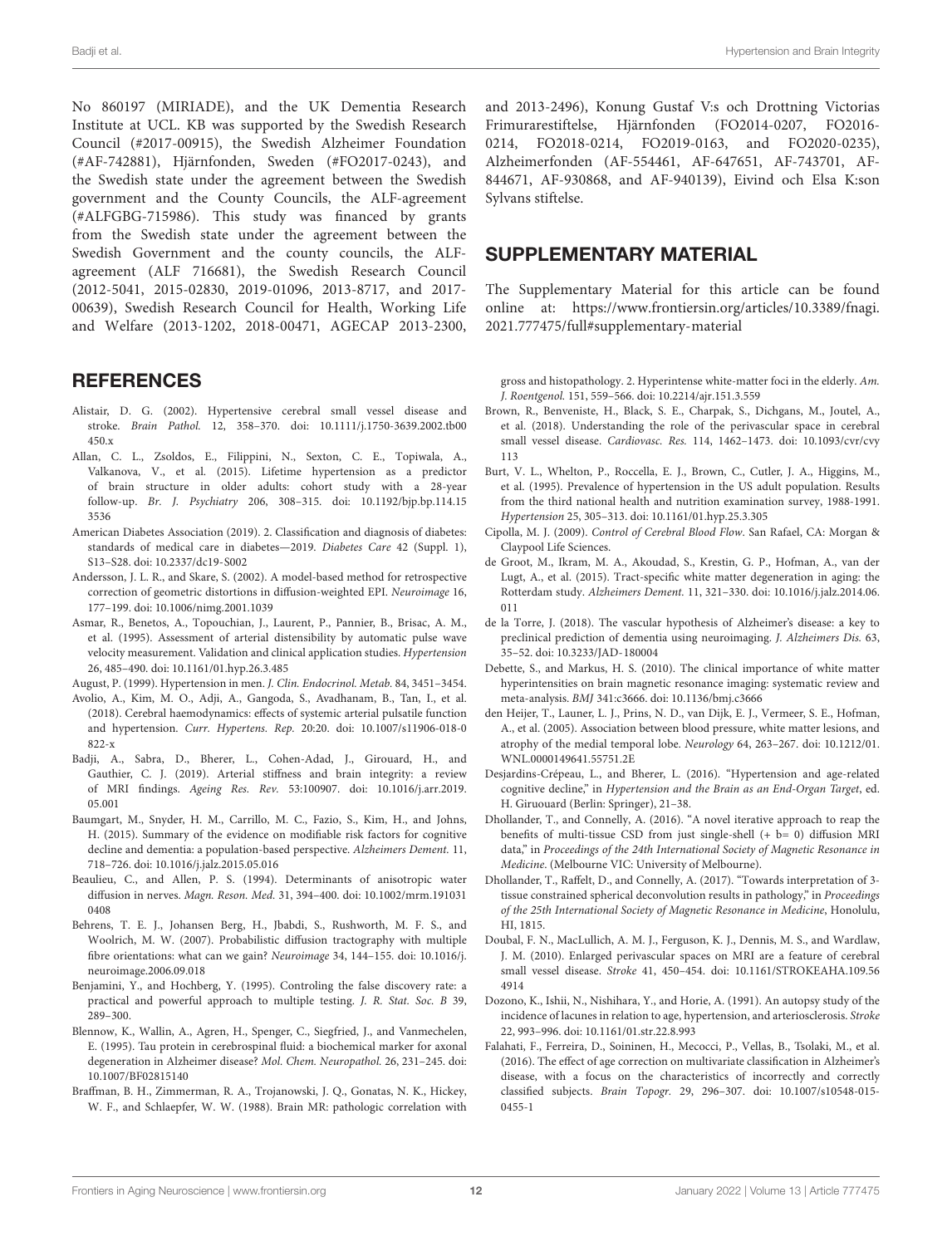No 860197 (MIRIADE), and the UK Dementia Research Institute at UCL. KB was supported by the Swedish Research Council (#2017-00915), the Swedish Alzheimer Foundation (#AF-742881), Hjärnfonden, Sweden (#FO2017-0243), and the Swedish state under the agreement between the Swedish government and the County Councils, the ALF-agreement (#ALFGBG-715986). This study was financed by grants from the Swedish state under the agreement between the Swedish Government and the county councils, the ALFagreement (ALF 716681), the Swedish Research Council (2012-5041, 2015-02830, 2019-01096, 2013-8717, and 2017- 00639), Swedish Research Council for Health, Working Life and Welfare (2013-1202, 2018-00471, AGECAP 2013-2300,

#### **REFERENCES**

- <span id="page-11-17"></span>Alistair, D. G. (2002). Hypertensive cerebral small vessel disease and stroke. Brain Pathol. 12, 358–370. [doi: 10.1111/j.1750-3639.2002.tb00](https://doi.org/10.1111/j.1750-3639.2002.tb00450.x) [450.x](https://doi.org/10.1111/j.1750-3639.2002.tb00450.x)
- <span id="page-11-24"></span>Allan, C. L., Zsoldos, E., Filippini, N., Sexton, C. E., Topiwala, A., Valkanova, V., et al. (2015). Lifetime hypertension as a predictor of brain structure in older adults: cohort study with a 28-year follow-up. Br. J. Psychiatry 206, 308–315. [doi: 10.1192/bjp.bp.114.15](https://doi.org/10.1192/bjp.bp.114.153536) [3536](https://doi.org/10.1192/bjp.bp.114.153536)
- <span id="page-11-15"></span>American Diabetes Association (2019). 2. Classification and diagnosis of diabetes: standards of medical care in diabetes—2019. Diabetes Care 42 (Suppl. 1), S13–S28. [doi: 10.2337/dc19-S002](https://doi.org/10.2337/dc19-S002)
- <span id="page-11-8"></span>Andersson, J. L. R., and Skare, S. (2002). A model-based method for retrospective correction of geometric distortions in diffusion-weighted EPI. Neuroimage 16, 177–199. [doi: 10.1006/nimg.2001.1039](https://doi.org/10.1006/nimg.2001.1039)
- <span id="page-11-25"></span>Asmar, R., Benetos, A., Topouchian, J., Laurent, P., Pannier, B., Brisac, A. M., et al. (1995). Assessment of arterial distensibility by automatic pulse wave velocity measurement. Validation and clinical application studies. Hypertension 26, 485–490. [doi: 10.1161/01.hyp.26.3.485](https://doi.org/10.1161/01.hyp.26.3.485)

<span id="page-11-20"></span>August, P. (1999). Hypertension in men. J. Clin. Endocrinol. Metab. 84, 3451–3454.

- <span id="page-11-5"></span>Avolio, A., Kim, M. O., Adji, A., Gangoda, S., Avadhanam, B., Tan, I., et al. (2018). Cerebral haemodynamics: effects of systemic arterial pulsatile function and hypertension. Curr. Hypertens. Rep. 20:20. [doi: 10.1007/s11906-018-0](https://doi.org/10.1007/s11906-018-0822-x) [822-x](https://doi.org/10.1007/s11906-018-0822-x)
- <span id="page-11-2"></span>Badji, A., Sabra, D., Bherer, L., Cohen-Adad, J., Girouard, H., and Gauthier, C. J. (2019). Arterial stiffness and brain integrity: a review of MRI findings. Ageing Res. Rev. 53:100907. [doi: 10.1016/j.arr.2019.](https://doi.org/10.1016/j.arr.2019.05.001) [05.001](https://doi.org/10.1016/j.arr.2019.05.001)
- <span id="page-11-3"></span>Baumgart, M., Snyder, H. M., Carrillo, M. C., Fazio, S., Kim, H., and Johns, H. (2015). Summary of the evidence on modifiable risk factors for cognitive decline and dementia: a population-based perspective. Alzheimers Dement. 11, 718–726. [doi: 10.1016/j.jalz.2015.05.016](https://doi.org/10.1016/j.jalz.2015.05.016)
- <span id="page-11-9"></span>Beaulieu, C., and Allen, P. S. (1994). Determinants of anisotropic water diffusion in nerves. Magn. Reson. Med. 31, 394–400. [doi: 10.1002/mrm.191031](https://doi.org/10.1002/mrm.1910310408) [0408](https://doi.org/10.1002/mrm.1910310408)
- <span id="page-11-7"></span>Behrens, T. E. J., Johansen Berg, H., Jbabdi, S., Rushworth, M. F. S., and Woolrich, M. W. (2007). Probabilistic diffusion tractography with multiple fibre orientations: what can we gain? Neuroimage 34, 144–155. [doi: 10.1016/j.](https://doi.org/10.1016/j.neuroimage.2006.09.018) [neuroimage.2006.09.018](https://doi.org/10.1016/j.neuroimage.2006.09.018)
- <span id="page-11-12"></span>Benjamini, Y., and Hochberg, Y. (1995). Controling the false discovery rate: a practical and powerful approach to multiple testing. J. R. Stat. Soc. B 39, 289–300.
- <span id="page-11-6"></span>Blennow, K., Wallin, A., Agren, H., Spenger, C., Siegfried, J., and Vanmechelen, E. (1995). Tau protein in cerebrospinal fluid: a biochemical marker for axonal degeneration in Alzheimer disease? Mol. Chem. Neuropathol. 26, 231–245. [doi:](https://doi.org/10.1007/BF02815140) [10.1007/BF02815140](https://doi.org/10.1007/BF02815140)
- <span id="page-11-16"></span>Braffman, B. H., Zimmerman, R. A., Trojanowski, J. Q., Gonatas, N. K., Hickey, W. F., and Schlaepfer, W. W. (1988). Brain MR: pathologic correlation with

and 2013-2496), Konung Gustaf V:s och Drottning Victorias Frimurarestiftelse, Hjärnfonden (FO2014-0207, FO2016- 0214, FO2018-0214, FO2019-0163, and FO2020-0235), Alzheimerfonden (AF-554461, AF-647651, AF-743701, AF-844671, AF-930868, and AF-940139), Eivind och Elsa K:son Sylvans stiftelse.

#### <span id="page-11-27"></span>SUPPLEMENTARY MATERIAL

The Supplementary Material for this article can be found online at: [https://www.frontiersin.org/articles/10.3389/fnagi.](https://www.frontiersin.org/articles/10.3389/fnagi.2021.777475/full#supplementary-material) [2021.777475/full#supplementary-material](https://www.frontiersin.org/articles/10.3389/fnagi.2021.777475/full#supplementary-material)

gross and histopathology. 2. Hyperintense white-matter foci in the elderly. Am. J. Roentgenol. 151, 559–566. [doi: 10.2214/ajr.151.3.559](https://doi.org/10.2214/ajr.151.3.559)

- <span id="page-11-0"></span>Brown, R., Benveniste, H., Black, S. E., Charpak, S., Dichgans, M., Joutel, A., et al. (2018). Understanding the role of the perivascular space in cerebral small vessel disease. Cardiovasc. Res. 114, 1462–1473. [doi: 10.1093/cvr/cvy](https://doi.org/10.1093/cvr/cvy113) [113](https://doi.org/10.1093/cvr/cvy113)
- <span id="page-11-19"></span>Burt, V. L., Whelton, P., Roccella, E. J., Brown, C., Cutler, J. A., Higgins, M., et al. (1995). Prevalence of hypertension in the US adult population. Results from the third national health and nutrition examination survey, 1988-1991. Hypertension 25, 305–313. [doi: 10.1161/01.hyp.25.3.305](https://doi.org/10.1161/01.hyp.25.3.305)
- <span id="page-11-13"></span>Cipolla, M. J. (2009). Control of Cerebral Blood Flow. San Rafael, CA: Morgan & Claypool Life Sciences.
- <span id="page-11-1"></span>de Groot, M., Ikram, M. A., Akoudad, S., Krestin, G. P., Hofman, A., van der Lugt, A., et al. (2015). Tract-specific white matter degeneration in aging: the Rotterdam study. Alzheimers Dement. 11, 321–330. [doi: 10.1016/j.jalz.2014.06.](https://doi.org/10.1016/j.jalz.2014.06.011) [011](https://doi.org/10.1016/j.jalz.2014.06.011)
- <span id="page-11-4"></span>de la Torre, J. (2018). The vascular hypothesis of Alzheimer's disease: a key to preclinical prediction of dementia using neuroimaging. J. Alzheimers Dis. 63, 35–52. [doi: 10.3233/JAD-180004](https://doi.org/10.3233/JAD-180004)
- <span id="page-11-14"></span>Debette, S., and Markus, H. S. (2010). The clinical importance of white matter hyperintensities on brain magnetic resonance imaging: systematic review and meta-analysis. BMJ 341:c3666. [doi: 10.1136/bmj.c3666](https://doi.org/10.1136/bmj.c3666)
- <span id="page-11-23"></span>den Heijer, T., Launer, L. J., Prins, N. D., van Dijk, E. J., Vermeer, S. E., Hofman, A., et al. (2005). Association between blood pressure, white matter lesions, and atrophy of the medial temporal lobe. Neurology 64, 263–267. [doi: 10.1212/01.](https://doi.org/10.1212/01.WNL.0000149641.55751.2E) [WNL.0000149641.55751.2E](https://doi.org/10.1212/01.WNL.0000149641.55751.2E)
- <span id="page-11-26"></span>Desjardins-Crépeau, L., and Bherer, L. (2016). "Hypertension and age-related cognitive decline," in Hypertension and the Brain as an End-Organ Target, ed. H. Giruouard (Berlin: Springer), 21–38.
- <span id="page-11-21"></span>Dhollander, T., and Connelly, A. (2016). "A novel iterative approach to reap the benefits of multi-tissue CSD from just single-shell (+ b= 0) diffusion MRI data," in Proceedings of the 24th International Society of Magnetic Resonance in Medicine. (Melbourne VIC: University of Melbourne).
- <span id="page-11-22"></span>Dhollander, T., Raffelt, D., and Connelly, A. (2017). "Towards interpretation of 3 tissue constrained spherical deconvolution results in pathology," in Proceedings of the 25th International Society of Magnetic Resonance in Medicine, Honolulu, HI, 1815.
- <span id="page-11-10"></span>Doubal, F. N., MacLullich, A. M. J., Ferguson, K. J., Dennis, M. S., and Wardlaw, J. M. (2010). Enlarged perivascular spaces on MRI are a feature of cerebral small vessel disease. Stroke 41, 450–454. [doi: 10.1161/STROKEAHA.109.56](https://doi.org/10.1161/STROKEAHA.109.564914) [4914](https://doi.org/10.1161/STROKEAHA.109.564914)
- <span id="page-11-18"></span>Dozono, K., Ishii, N., Nishihara, Y., and Horie, A. (1991). An autopsy study of the incidence of lacunes in relation to age, hypertension, and arteriosclerosis. Stroke 22, 993–996. [doi: 10.1161/01.str.22.8.993](https://doi.org/10.1161/01.str.22.8.993)
- <span id="page-11-11"></span>Falahati, F., Ferreira, D., Soininen, H., Mecocci, P., Vellas, B., Tsolaki, M., et al. (2016). The effect of age correction on multivariate classification in Alzheimer's disease, with a focus on the characteristics of incorrectly and correctly classified subjects. Brain Topogr. 29, 296–307. [doi: 10.1007/s10548-015-](https://doi.org/10.1007/s10548-015-0455-1) [0455-1](https://doi.org/10.1007/s10548-015-0455-1)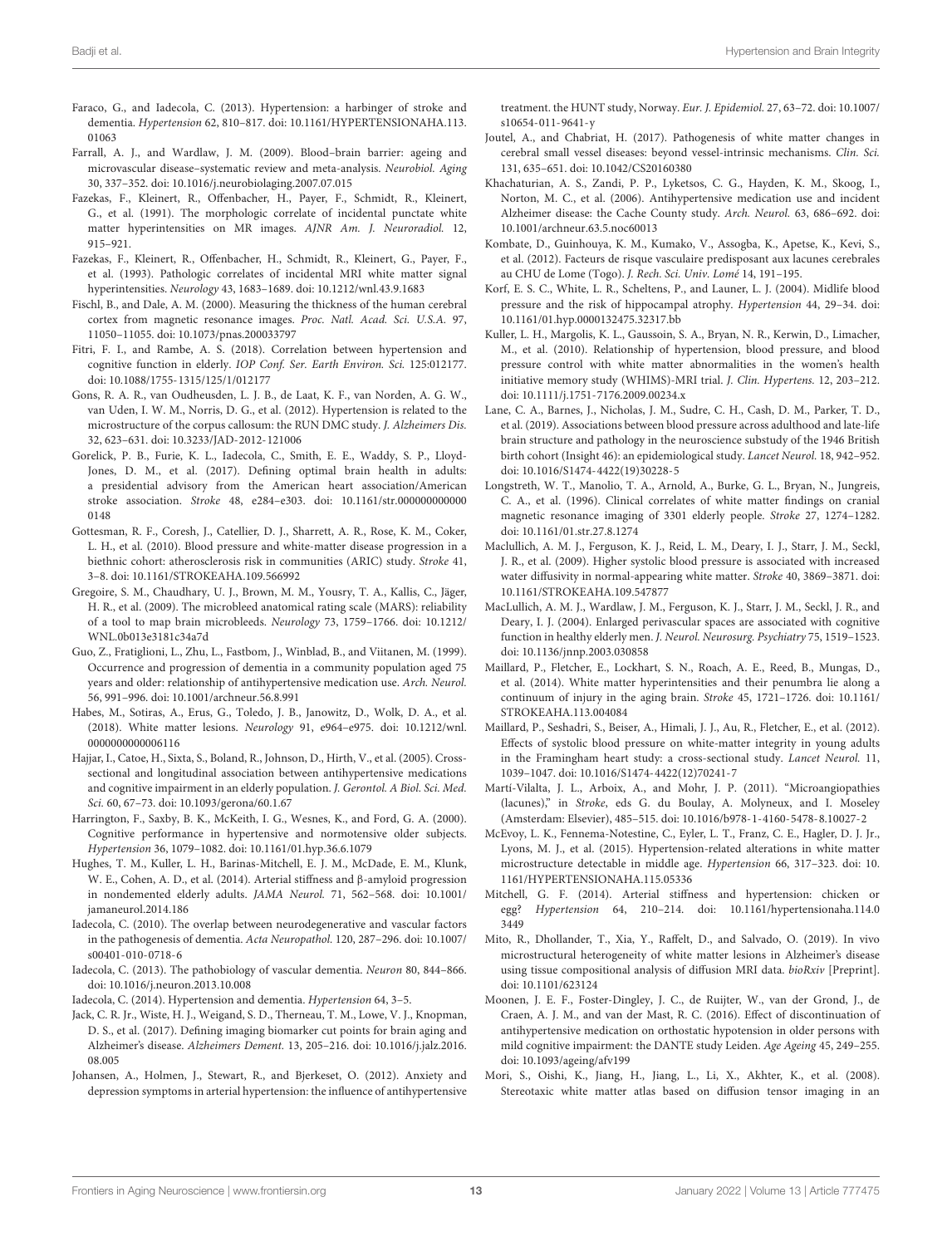- <span id="page-12-12"></span>Faraco, G., and Iadecola, C. (2013). Hypertension: a harbinger of stroke and dementia. Hypertension 62, 810–817. [doi: 10.1161/HYPERTENSIONAHA.113.](https://doi.org/10.1161/HYPERTENSIONAHA.113.01063) [01063](https://doi.org/10.1161/HYPERTENSIONAHA.113.01063)
- <span id="page-12-23"></span>Farrall, A. J., and Wardlaw, J. M. (2009). Blood–brain barrier: ageing and microvascular disease–systematic review and meta-analysis. Neurobiol. Aging 30, 337–352. [doi: 10.1016/j.neurobiolaging.2007.07.015](https://doi.org/10.1016/j.neurobiolaging.2007.07.015)
- <span id="page-12-9"></span>Fazekas, F., Kleinert, R., Offenbacher, H., Payer, F., Schmidt, R., Kleinert, G., et al. (1991). The morphologic correlate of incidental punctate white matter hyperintensities on MR images. AJNR Am. J. Neuroradiol. 12, 915–921.
- <span id="page-12-14"></span>Fazekas, F., Kleinert, R., Offenbacher, H., Schmidt, R., Kleinert, G., Payer, F., et al. (1993). Pathologic correlates of incidental MRI white matter signal hyperintensities. Neurology 43, 1683–1689. [doi: 10.1212/wnl.43.9.1683](https://doi.org/10.1212/wnl.43.9.1683)
- <span id="page-12-5"></span>Fischl, B., and Dale, A. M. (2000). Measuring the thickness of the human cerebral cortex from magnetic resonance images. Proc. Natl. Acad. Sci. U.S.A. 97, 11050–11055. [doi: 10.1073/pnas.200033797](https://doi.org/10.1073/pnas.200033797)
- <span id="page-12-34"></span>Fitri, F. I., and Rambe, A. S. (2018). Correlation between hypertension and cognitive function in elderly. IOP Conf. Ser. Earth Environ. Sci. 125:012177. [doi: 10.1088/1755-1315/125/1/012177](https://doi.org/10.1088/1755-1315/125/1/012177)
- <span id="page-12-25"></span>Gons, R. A. R., van Oudheusden, L. J. B., de Laat, K. F., van Norden, A. G. W., van Uden, I. W. M., Norris, D. G., et al. (2012). Hypertension is related to the microstructure of the corpus callosum: the RUN DMC study. J. Alzheimers Dis. 32, 623–631. [doi: 10.3233/JAD-2012-121006](https://doi.org/10.3233/JAD-2012-121006)
- <span id="page-12-4"></span>Gorelick, P. B., Furie, K. L., Iadecola, C., Smith, E. E., Waddy, S. P., Lloyd-Jones, D. M., et al. (2017). Defining optimal brain health in adults: a presidential advisory from the American heart association/American stroke association. Stroke 48, e284–e303. [doi: 10.1161/str.000000000000](https://doi.org/10.1161/str.0000000000000148) [0148](https://doi.org/10.1161/str.0000000000000148)
- <span id="page-12-28"></span>Gottesman, R. F., Coresh, J., Catellier, D. J., Sharrett, A. R., Rose, K. M., Coker, L. H., et al. (2010). Blood pressure and white-matter disease progression in a biethnic cohort: atherosclerosis risk in communities (ARIC) study. Stroke 41, 3–8. [doi: 10.1161/STROKEAHA.109.566992](https://doi.org/10.1161/STROKEAHA.109.566992)
- <span id="page-12-8"></span>Gregoire, S. M., Chaudhary, U. J., Brown, M. M., Yousry, T. A., Kallis, C., Jäger, H. R., et al. (2009). The microbleed anatomical rating scale (MARS): reliability of a tool to map brain microbleeds. Neurology 73, 1759–1766. [doi: 10.1212/](https://doi.org/10.1212/WNL.0b013e3181c34a7d) [WNL.0b013e3181c34a7d](https://doi.org/10.1212/WNL.0b013e3181c34a7d)
- <span id="page-12-31"></span>Guo, Z., Fratiglioni, L., Zhu, L., Fastbom, J., Winblad, B., and Viitanen, M. (1999). Occurrence and progression of dementia in a community population aged 75 years and older: relationship of antihypertensive medication use. Arch. Neurol. 56, 991–996. [doi: 10.1001/archneur.56.8.991](https://doi.org/10.1001/archneur.56.8.991)
- <span id="page-12-13"></span>Habes, M., Sotiras, A., Erus, G., Toledo, J. B., Janowitz, D., Wolk, D. A., et al. (2018). White matter lesions. Neurology 91, e964–e975. [doi: 10.1212/wnl.](https://doi.org/10.1212/wnl.0000000000006116) [0000000000006116](https://doi.org/10.1212/wnl.0000000000006116)
- <span id="page-12-32"></span>Hajjar, I., Catoe, H., Sixta, S., Boland, R., Johnson, D., Hirth, V., et al. (2005). Crosssectional and longitudinal association between antihypertensive medications and cognitive impairment in an elderly population. J. Gerontol. A Biol. Sci. Med. Sci. 60, 67–73. [doi: 10.1093/gerona/60.1.67](https://doi.org/10.1093/gerona/60.1.67)
- <span id="page-12-30"></span>Harrington, F., Saxby, B. K., McKeith, I. G., Wesnes, K., and Ford, G. A. (2000). Cognitive performance in hypertensive and normotensive older subjects. Hypertension 36, 1079–1082. [doi: 10.1161/01.hyp.36.6.1079](https://doi.org/10.1161/01.hyp.36.6.1079)
- <span id="page-12-3"></span>Hughes, T. M., Kuller, L. H., Barinas-Mitchell, E. J. M., McDade, E. M., Klunk, W. E., Cohen, A. D., et al. (2014). Arterial stiffness and β-amyloid progression in nondemented elderly adults. JAMA Neurol. 71, 562–568. [doi: 10.1001/](https://doi.org/10.1001/jamaneurol.2014.186) [jamaneurol.2014.186](https://doi.org/10.1001/jamaneurol.2014.186)
- <span id="page-12-11"></span>Iadecola, C. (2010). The overlap between neurodegenerative and vascular factors in the pathogenesis of dementia. Acta Neuropathol. 120, 287–296. [doi: 10.1007/](https://doi.org/10.1007/s00401-010-0718-6) [s00401-010-0718-6](https://doi.org/10.1007/s00401-010-0718-6)
- <span id="page-12-16"></span>Iadecola, C. (2013). The pathobiology of vascular dementia. Neuron 80, 844–866. [doi: 10.1016/j.neuron.2013.10.008](https://doi.org/10.1016/j.neuron.2013.10.008)
- <span id="page-12-0"></span>Iadecola, C. (2014). Hypertension and dementia. Hypertension 64, 3–5.
- <span id="page-12-6"></span>Jack, C. R. Jr., Wiste, H. J., Weigand, S. D., Therneau, T. M., Lowe, V. J., Knopman, D. S., et al. (2017). Defining imaging biomarker cut points for brain aging and Alzheimer's disease. Alzheimers Dement. 13, 205–216. [doi: 10.1016/j.jalz.2016.](https://doi.org/10.1016/j.jalz.2016.08.005) [08.005](https://doi.org/10.1016/j.jalz.2016.08.005)
- <span id="page-12-35"></span>Johansen, A., Holmen, J., Stewart, R., and Bjerkeset, O. (2012). Anxiety and depression symptoms in arterial hypertension: the influence of antihypertensive

treatment. the HUNT study, Norway. Eur. J. Epidemiol. 27, 63–72. [doi: 10.1007/](https://doi.org/10.1007/s10654-011-9641-y) [s10654-011-9641-y](https://doi.org/10.1007/s10654-011-9641-y)

- <span id="page-12-15"></span>Joutel, A., and Chabriat, H. (2017). Pathogenesis of white matter changes in cerebral small vessel diseases: beyond vessel-intrinsic mechanisms. Clin. Sci. 131, 635–651. [doi: 10.1042/CS20160380](https://doi.org/10.1042/CS20160380)
- <span id="page-12-33"></span>Khachaturian, A. S., Zandi, P. P., Lyketsos, C. G., Hayden, K. M., Skoog, I., Norton, M. C., et al. (2006). Antihypertensive medication use and incident Alzheimer disease: the Cache County study. Arch. Neurol. 63, 686–692. [doi:](https://doi.org/10.1001/archneur.63.5.noc60013) [10.1001/archneur.63.5.noc60013](https://doi.org/10.1001/archneur.63.5.noc60013)
- <span id="page-12-19"></span>Kombate, D., Guinhouya, K. M., Kumako, V., Assogba, K., Apetse, K., Kevi, S., et al. (2012). Facteurs de risque vasculaire predisposant aux lacunes cerebrales au CHU de Lome (Togo). J. Rech. Sci. Univ. Lomé 14, 191–195.
- <span id="page-12-27"></span>Korf, E. S. C., White, L. R., Scheltens, P., and Launer, L. J. (2004). Midlife blood pressure and the risk of hippocampal atrophy. Hypertension 44, 29–34. [doi:](https://doi.org/10.1161/01.hyp.0000132475.32317.bb) [10.1161/01.hyp.0000132475.32317.bb](https://doi.org/10.1161/01.hyp.0000132475.32317.bb)
- <span id="page-12-22"></span>Kuller, L. H., Margolis, K. L., Gaussoin, S. A., Bryan, N. R., Kerwin, D., Limacher, M., et al. (2010). Relationship of hypertension, blood pressure, and blood pressure control with white matter abnormalities in the women's health initiative memory study (WHIMS)-MRI trial. J. Clin. Hypertens. 12, 203–212. [doi: 10.1111/j.1751-7176.2009.00234.x](https://doi.org/10.1111/j.1751-7176.2009.00234.x)
- <span id="page-12-26"></span>Lane, C. A., Barnes, J., Nicholas, J. M., Sudre, C. H., Cash, D. M., Parker, T. D., et al. (2019). Associations between blood pressure across adulthood and late-life brain structure and pathology in the neuroscience substudy of the 1946 British birth cohort (Insight 46): an epidemiological study. Lancet Neurol. 18, 942–952. [doi: 10.1016/S1474-4422\(19\)30228-5](https://doi.org/10.1016/S1474-4422(19)30228-5)
- <span id="page-12-29"></span>Longstreth, W. T., Manolio, T. A., Arnold, A., Burke, G. L., Bryan, N., Jungreis, C. A., et al. (1996). Clinical correlates of white matter findings on cranial magnetic resonance imaging of 3301 elderly people. Stroke 27, 1274–1282. [doi: 10.1161/01.str.27.8.1274](https://doi.org/10.1161/01.str.27.8.1274)
- <span id="page-12-24"></span>Maclullich, A. M. J., Ferguson, K. J., Reid, L. M., Deary, I. J., Starr, J. M., Seckl, J. R., et al. (2009). Higher systolic blood pressure is associated with increased water diffusivity in normal-appearing white matter. Stroke 40, 3869–3871. [doi:](https://doi.org/10.1161/STROKEAHA.109.547877) [10.1161/STROKEAHA.109.547877](https://doi.org/10.1161/STROKEAHA.109.547877)
- <span id="page-12-10"></span>MacLullich, A. M. J., Wardlaw, J. M., Ferguson, K. J., Starr, J. M., Seckl, J. R., and Deary, I. J. (2004). Enlarged perivascular spaces are associated with cognitive function in healthy elderly men. J. Neurol. Neurosurg. Psychiatry 75, 1519-1523. [doi: 10.1136/jnnp.2003.030858](https://doi.org/10.1136/jnnp.2003.030858)
- <span id="page-12-1"></span>Maillard, P., Fletcher, E., Lockhart, S. N., Roach, A. E., Reed, B., Mungas, D., et al. (2014). White matter hyperintensities and their penumbra lie along a continuum of injury in the aging brain. Stroke 45, 1721–1726. [doi: 10.1161/](https://doi.org/10.1161/STROKEAHA.113.004084) [STROKEAHA.113.004084](https://doi.org/10.1161/STROKEAHA.113.004084)
- <span id="page-12-20"></span>Maillard, P., Seshadri, S., Beiser, A., Himali, J. J., Au, R., Fletcher, E., et al. (2012). Effects of systolic blood pressure on white-matter integrity in young adults in the Framingham heart study: a cross-sectional study. Lancet Neurol. 11, 1039–1047. [doi: 10.1016/S1474-4422\(12\)70241-7](https://doi.org/10.1016/S1474-4422(12)70241-7)
- <span id="page-12-18"></span>Martí-Vilalta, J. L., Arboix, A., and Mohr, J. P. (2011). "Microangiopathies (lacunes)," in Stroke, eds G. du Boulay, A. Molyneux, and I. Moseley (Amsterdam: Elsevier), 485–515. [doi: 10.1016/b978-1-4160-5478-8.10027-2](https://doi.org/10.1016/b978-1-4160-5478-8.10027-2)
- <span id="page-12-21"></span>McEvoy, L. K., Fennema-Notestine, C., Eyler, L. T., Franz, C. E., Hagler, D. J. Jr., Lyons, M. J., et al. (2015). Hypertension-related alterations in white matter microstructure detectable in middle age. Hypertension 66, 317–323. [doi: 10.](https://doi.org/10.1161/HYPERTENSIONAHA.115.05336) [1161/HYPERTENSIONAHA.115.05336](https://doi.org/10.1161/HYPERTENSIONAHA.115.05336)
- <span id="page-12-2"></span>Mitchell, G. F. (2014). Arterial stiffness and hypertension: chicken or egg? Hypertension 64, 210–214. [doi: 10.1161/hypertensionaha.114.0](https://doi.org/10.1161/hypertensionaha.114.03449) [3449](https://doi.org/10.1161/hypertensionaha.114.03449)
- <span id="page-12-17"></span>Mito, R., Dhollander, T., Xia, Y., Raffelt, D., and Salvado, O. (2019). In vivo microstructural heterogeneity of white matter lesions in Alzheimer's disease using tissue compositional analysis of diffusion MRI data. bioRxiv [Preprint]. [doi: 10.1101/623124](https://doi.org/10.1101/623124)
- <span id="page-12-36"></span>Moonen, J. E. F., Foster-Dingley, J. C., de Ruijter, W., van der Grond, J., de Craen, A. J. M., and van der Mast, R. C. (2016). Effect of discontinuation of antihypertensive medication on orthostatic hypotension in older persons with mild cognitive impairment: the DANTE study Leiden. Age Ageing 45, 249–255. [doi: 10.1093/ageing/afv199](https://doi.org/10.1093/ageing/afv199)
- <span id="page-12-7"></span>Mori, S., Oishi, K., Jiang, H., Jiang, L., Li, X., Akhter, K., et al. (2008). Stereotaxic white matter atlas based on diffusion tensor imaging in an